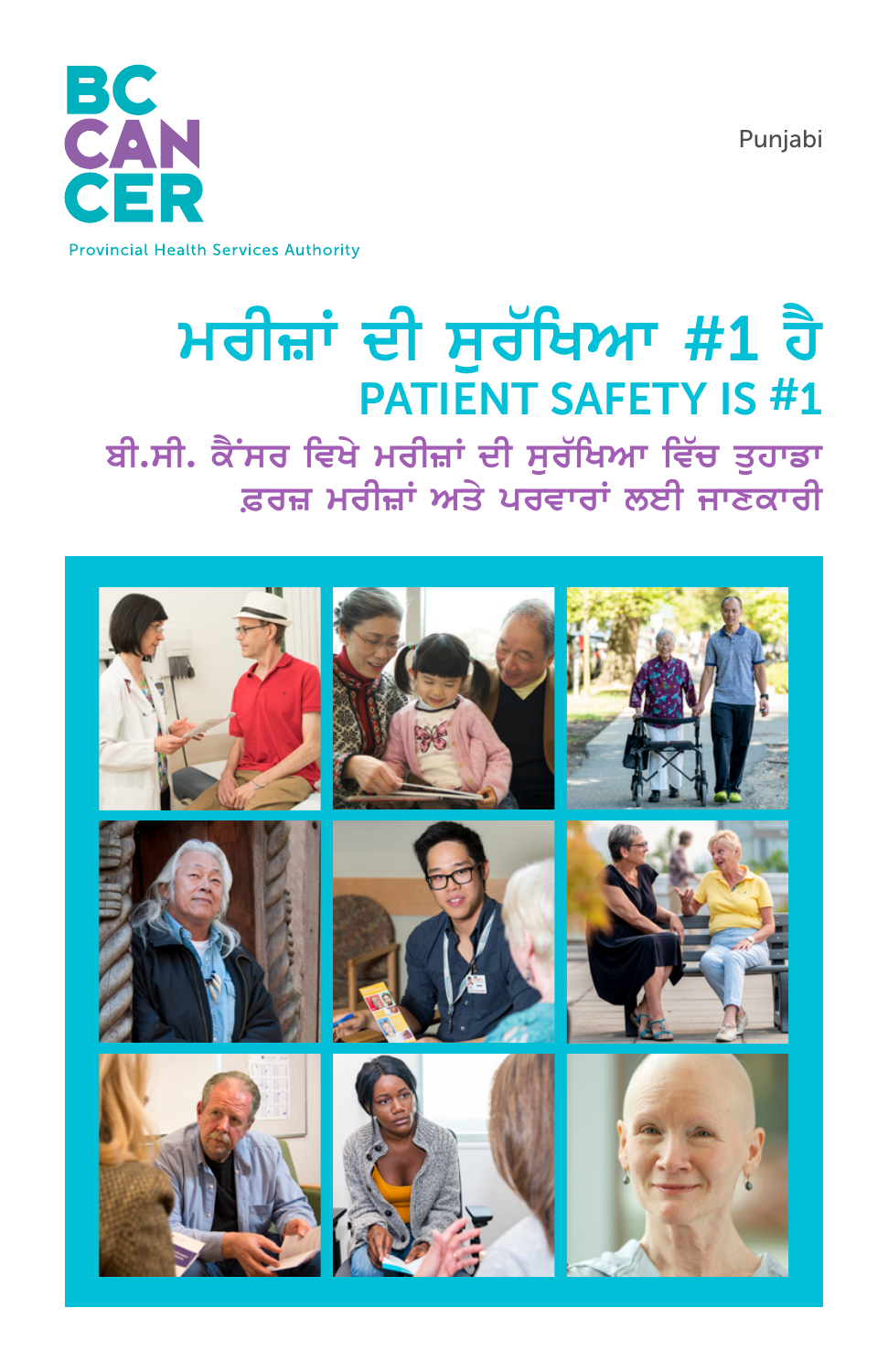Punjabi



#### **Provincial Health Services Authority**

# ਮਰੀਜ਼ਾਂ ਦੀ ਸੁਰੱਖਿਆ #1 ਹੈ **PATIENT SAFETY IS #1**

ਬੀ.ਸੀ. ਕੈਂਸਰ ਵਿਖੇ ਮਰੀਜ਼ਾਂ ਦੀ ਸੁਰੱਖਿਆ ਵਿੱਚ ਤੁਹਾਡਾ ਫ਼ਰਜ਼ ਮਰੀਜ਼ਾਂ ਅਤੇ ਪਰਵਾਰਾਂ ਲਈ ਜਾਣਕਾਰੀ

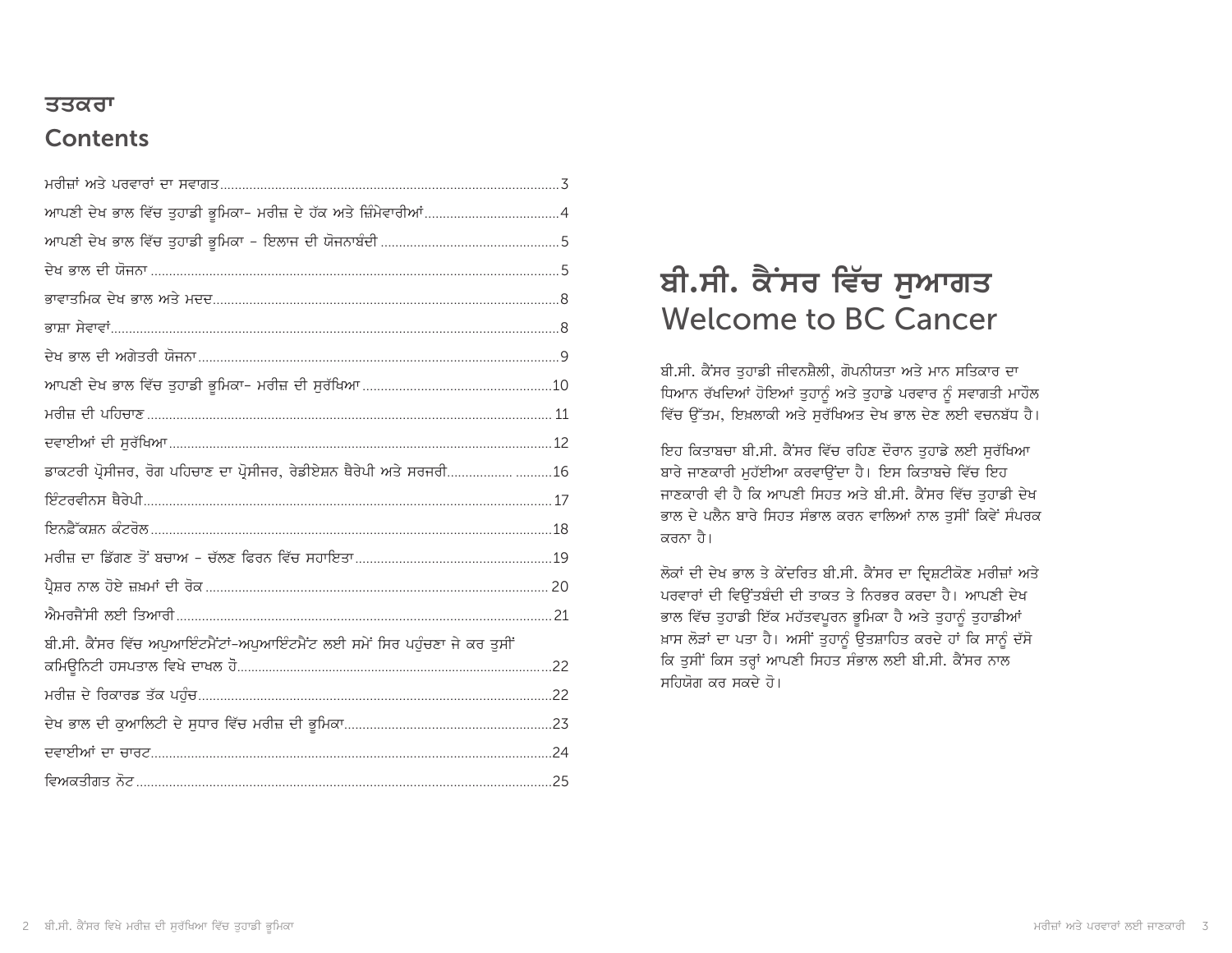### <u>ਤਤਕਰਾ</u> **Contents**

| ਡਾਕਟਰੀ ਪ੍ਰੋਸੀਜਰ, ਰੋਗ ਪਹਿਚਾਣ ਦਾ ਪ੍ਰੋਸੀਜਰ, ਰੇਡੀਏਸ਼ਨ ਥੈਰੇਪੀ ਅਤੇ ਸਰਜਰੀ16        |  |
|-----------------------------------------------------------------------------|--|
|                                                                             |  |
|                                                                             |  |
|                                                                             |  |
|                                                                             |  |
|                                                                             |  |
| ਬੀ.ਸੀ. ਕੈਂਸਰ ਵਿੱਚ ਅਪੁਆਇੰਟਮੈਂਟਾਂ-ਅਪੁਆਇੰਟਮੈਂਟ ਲਈ ਸਮੇਂ ਸਿਰ ਪਹੁੰਚਣਾ ਜੇ ਕਰ ਤੁਸੀਂ |  |
|                                                                             |  |
|                                                                             |  |
|                                                                             |  |
|                                                                             |  |

# **ਬੀ.ਸੀ. ਕੈਂਸਰ ਵਿੱਚ ਸੁਆਗਤ** Welcome to BC Cancer

ਬੀ.ਸੀ. ਕੈਂਸਰ ਤੁਹਾਡੀ ਜੀਵਨਸ਼ੈਲੀ, ਗੋਪਨੀਯਤਾ ਅਤੇ ਮਾਨ ਸਤਿਕਾਰ ਦਾ ਧਿਆਨ ਰੱਖਦਿਆਂ ਹੋਇਆਂ ਤੁਹਾਨੂੰ ਅਤੇ ਤੁਹਾਡੇ ਪਰਵਾਰ ਨੂੰ ਸਵਾਗਤੀ ਮਾਹੌਲ ਵਿੱਚ ਉੱਤਮ, ਇਖ਼ਲਾਕੀ ਅਤੇ ਸਰੱਖਿਅਤ ਦੇਖ ਭਾਲ ਦੇਣ ਲਈ ਵਚਨਬੱਧ ਹੈ।

ਇਹ ਕਿਤਾਬਚਾ ਬੀ.ਸੀ. ਕੈਂਸਰ ਵਿੱਚ ਰਹਿਣ ਦੌਰਾਨ ਤਹਾਡੇ ਲਈ ਸਰੱਖਿਆ ਬਾਰੇ ਜਾਣਕਾਰੀ ਮਹੱਈਆ ਕਰਵਾਉਂਦਾ ਹੈ। ਇਸ ਕਿਤਾਬਚੇ ਵਿੱਚ ਇਹ ਜਾਣਕਾਰੀ ਵੀ ਹੈ ਕਿ ਆਪਣੀ ਸਿਹਤ ਅਤੇ ਬੀ.ਸੀ. ਕੈਂਸਰ ਵਿੱਚ ਤਹਾਡੀ ਦੇਖ ਭਾਲ ਦੇ ਪਲੈਨ ਬਾਰੇ ਸਿਹਤ ਸੰਭਾਲ ਕਰਨ ਵਾਲਿਆਂ ਨਾਲ ਤਸੀਂ ਕਿਵੇਂ ਸੰਪਰਕ ਕਰਨਾ ਹੈ।

ਲੋਕਾਂ ਦੀ ਦੇਖ ਭਾਲ ਤੇ ਕੇਂਦਰਿਤ ਬੀ.ਸੀ. ਕੈਂਸਰ ਦਾ ਦ੍ਰਿਸ਼ਟੀਕੋਣ ਮਰੀਜ਼ਾਂ ਅਤੇ ਪਰਵਾਰਾਂ ਦੀ ਵਿੳਂਤਬੰਦੀ ਦੀ ਤਾਕਤ ਤੇ ਨਿਰਭਰ ਕਰਦਾ ਹੈ। ਆਪਣੀ ਦੇਖ ਭਾਲ ਵਿੱਚ ਤੁਹਾਡੀ ਇੱਕ ਮਹੱਤਵਪੂਰਨ ਭੂਮਿਕਾ ਹੈ ਅਤੇ ਤੁਹਾਨੂੰ ਤੁਹਾਡੀਆਂ ਖ਼ਾਸ ਲੋੜਾਂ ਦਾ ਪਤਾ ਹੈ। ਅਸੀਂ ਤੁਹਾਨੂੰ ਉਤਸ਼ਾਹਿਤ ਕਰਦੇ ਹਾਂ ਕਿ ਸਾਨੂੰ ਦੱਸੋ ਕਿ ਤੁਸੀਂ ਕਿਸ ਤਰ੍ਹਾਂ ਆਪਣੀ ਸਿਹਤ ਸੰਭਾਲ ਲਈ ਬੀ.ਸੀ. ਕੈਂਸਰ ਨਾਲ ਸ਼ਹਿਯੋਗ ਕਰ ਸਕਦੇ ਹੋ।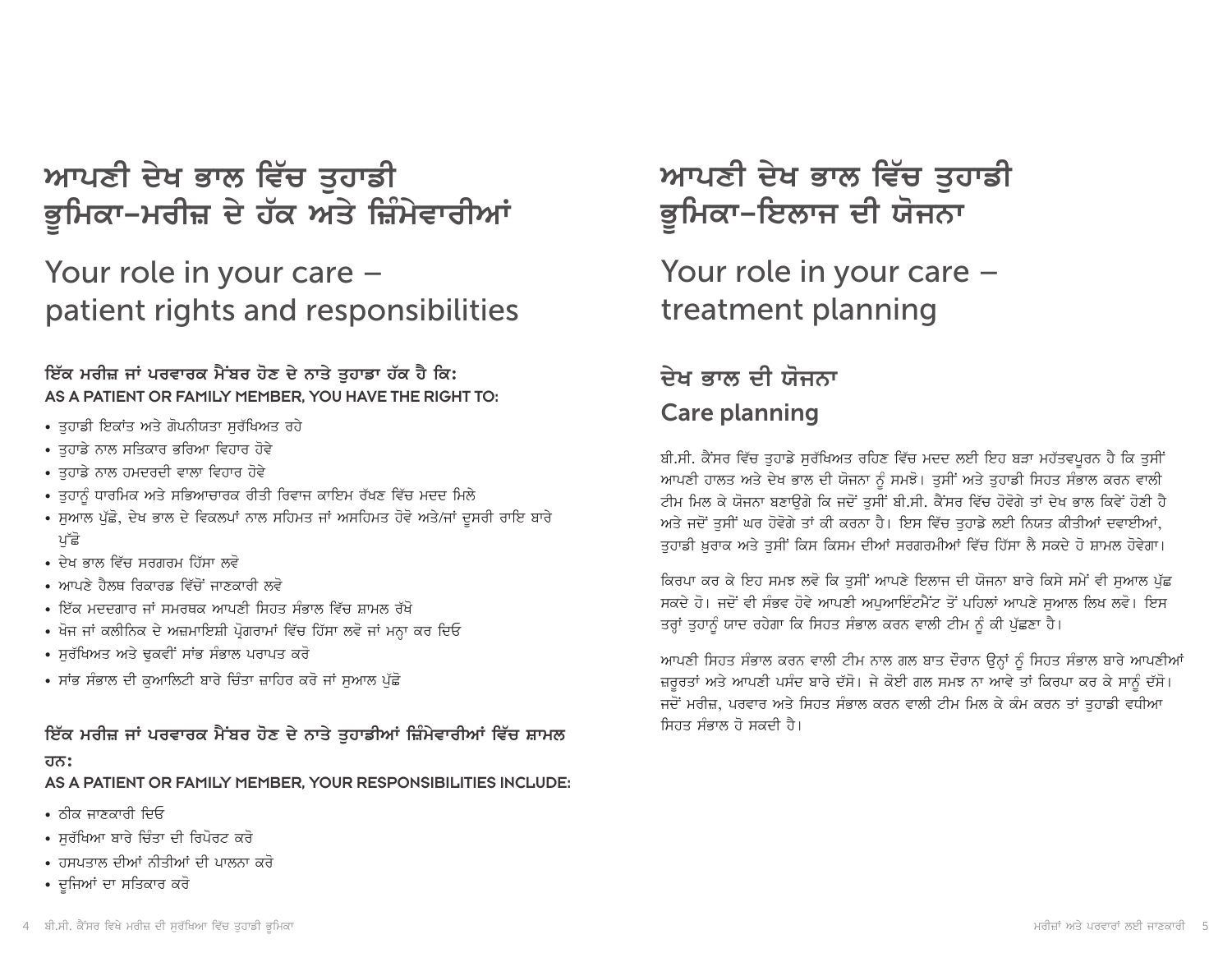*ਆਪ*ਣੀ ਦੇਖ ਭਾਲ ਵਿੱਚ ਤੁਹਾਡੀ ਭੂਮਿਕਾ-ਮਰੀਜ਼ ਦੇ ਹੱਕ ਅਤੇ ਜ਼ਿੰਮੇਵਾਰੀਆਂ

# Your role in your care – patient rights and responsibilities

<u>ਇੱਕ ਮਰੀਜ਼ ਜਾਂ ਪਰਵਾਰਕ ਮੈਂਬਰ ਹੋਣ ਦੇ ਨਾਤੇ ਤੁਹਾਡਾ ਹੱਕ ਹੈ ਕਿ:</u> AS A PATIENT OR FAMILY MEMBER, YOU HAVE THE RIGHT TO:

- ਤਹਾਡੀ ਇਕਾਂਤ ਅਤੇ ਗੋਪਨੀਯਤਾ ਸਰੱਖਿਅਤ ਰਹੇ
- ਤਹਾਡੇ ਨਾਲ ਸਤਿਕਾਰ ਭਰਿਆ ਵਿਹਾਰ ਹੋਵੇ
- ਤੁਹਾਡੇ ਨਾਲ ਹਮਦਰਦੀ ਵਾਲਾ ਵਿਹਾਰ ਹੋਵੇ
- ਤਹਾਨੰ ਧਾਰਮਿਕ ਅਤੇ ਸਭਿਆਚਾਰਕ ਰੀਤੀ ਰਿਵਾਜ ਕਾਇਮ ਰੱਖਣ ਵਿੱਚ ਮਦਦ ਮਿਲੇ
- ਸੁਆਲ ਪੁੱਛੋ, ਦੇਖ ਭਾਲ ਦੇ ਵਿਕਲਪਾਂ ਨਾਲ ਸਹਿਮਤ ਜਾਂ ਅਸਹਿਮਤ ਹੋਵੋ ਅਤੇ/ਜਾਂ ਦੂਸਰੀ ਰਾਇ ਬਾਰੇ ਪੱਛੋ
- ਦੇਖ ਭਾਲ ਵਿੱਚ ਸਰਗਰਮ ਹਿੱਸਾ ਲਵੋ
- ਆਪਣੇ ਹੈਲਥ ਰਿਕਾਰਡ ਵਿੱਚੋਂ ਜਾਣਕਾਰੀ ਲਵੋ
- ਇੱਕ ਮਦਦਗਾਰ ਜਾਂ ਸਮਰਥਕ ਆਪਣੀ ਸਿਹਤ ਸੰਭਾਲ ਵਿੱਚ ਸ਼ਾਮਲ ਰੱਖੋ
- ਖੋਜ ਜਾਂ ਕਲੀਨਿਕ ਦੇ ਅਜ਼ਮਾਇਸ਼ੀ ਪ੍ਰੋਗਰਾਮਾਂ ਵਿੱਚ ਹਿੱਸਾ ਲਵੋ ਜਾਂ ਮਨ੍ਹਾ ਕਰ ਦਿਓ
- ਸਰੱਖਿਅਤ ਅਤੇ ਢਕਵੀਂ ਸਾਂਭ ਸੰਭਾਲ ਪਰਾਪਤ ਕਰੋ
- ਸਾਂਭ ਸੰਭਾਲ ਦੀ ਕੁਆਲਿਟੀ ਬਾਰੇ ਚਿੰਤਾ ਜ਼ਾਹਿਰ ਕਰੋ ਜਾਂ ਸੁਆਲ ਪੁੱਛੋ

<u>ਇੱਕ ਮਰੀਜ਼ ਜਾਂ ਪਰਵਾਰਕ ਮੈਂਬਰ ਹੋਣ ਦੇ ਨਾਤੇ ਤਹਾਡੀਆਂ ਜ਼ਿੰਮੇਵਾਰੀਆਂ ਵਿੱਚ ਸ਼ਾਮਲ</u> **hn:**

AS A PATIENT OR FAMILY MEMBER, YOUR RESPONSIBILITIES INCLUDE:

- $\cdot$  ਨੀਕ ਜਾਣਕਾਰੀ ਦਿਓ
- ਸਰੱਖਿਆ ਬਾਰੇ ਚਿੰਤਾ ਦੀ ਰਿਪੋਰਟ ਕਰੋ
- ਹਸਪਤਾਲ ਦੀਆਂ ਨੀਤੀਆਂ ਦੀ ਪਾਲਨਾ ਕਰੋ
- ਦੂਜਿਆਂ ਦਾ ਸਤਿਕਾਰ ਕਰੋ

# <u>ਆਪਣੀ ਦੇਖ ਭਾਲ ਵਿੱਚ ਤੁਹਾਡੀ</u> ਭੂਮਿਕਾ–ਇਲਾਜ ਦੀ ਯੋਜਨਾ

Your role in your care – treatment planning

# <u>ਦੇਖ ਭਾਲ ਦੀ ਯੋਜਨਾ</u> Care planning

ਬੀ.ਸੀ. ਕੈਂਸਰ ਵਿੱਚ ਤੁਹਾਡੇ ਸੁਰੱਖਿਅਤ ਰਹਿਣ ਵਿੱਚ ਮਦਦ ਲਈ ਇਹ ਬੜਾ ਮਹੱਤਵਪੂਰਨ ਹੈ ਕਿ ਤੁਸੀਂ ਆਪਣੀ ਹਾਲਤ ਅਤੇ ਦੇਖ ਭਾਲ ਦੀ ਯੋਜਨਾ ਨੂੰ ਸਮਝੋ। ਤਸੀਂ ਅਤੇ ਤਹਾਡੀ ਸਿਹਤ ਸੰਭਾਲ ਕਰਨ ਵਾਲੀ ਟੀਮ ਮਿਲ ਕੇ ਯੋਜਨਾ ਬਣਾੳਗੇ ਕਿ ਜਦੋਂ ਤਸੀਂ ਬੀ.ਸੀ. ਕੈਂਸਰ ਵਿੱਚ ਹੋਵੋਗੇ ਤਾਂ ਦੇਖ ਭਾਲ ਕਿਵੇਂ ਹੋਣੀ ਹੈ ਅਤੇ ਜਦੋਂ ਤਸੀਂ ਘਰ ਹੋਵੋਗੇ ਤਾਂ ਕੀ ਕਰਨਾ ਹੈ। ਇਸ ਵਿੱਚ ਤਹਾਡੇ ਲਈ ਨਿਯਤ ਕੀਤੀਆਂ ਦਵਾਈਆਂ, ਤਹਾਡੀ ਖ਼ਰਾਕ ਅਤੇ ਤਸੀਂ ਕਿਸ ਕਿਸਮ ਦੀਆਂ ਸਰਗਰਮੀਆਂ ਵਿੱਚ ਹਿੱਸਾ ਲੈ ਸਕਦੇ ਹੋ ਸ਼ਾਮਲ ਹੋਵੇਗਾ।

ਕਿਰਪਾ ਕਰ ਕੇ ਇਹ ਸਮਝ ਲਵੋ ਕਿ ਤਸੀਂ ਆਪਣੇ ਇਲਾਜ ਦੀ ਯੋਜਨਾ ਬਾਰੇ ਕਿਸੇ ਸਮੇਂ ਵੀ ਸਆਲ ਪੱਛ ਸਕਦੇ ਹੋ। ਜਦੋਂ ਵੀ ਸੰਭਵ ਹੋਵੇ ਆਪਣੀ ਅਪਆਇੰਟਮੈਂਟ ਤੋਂ ਪਹਿਲਾਂ ਆਪਣੇ ਸਆਲ ਲਿਖ ਲਵੋ। ਇਸ ਤਰ੍ਹਾਂ ਤਹਾਨੂੰ ਯਾਦ ਰਹੇਗਾ ਕਿ ਸਿਹਤ ਸੰਭਾਲ ਕਰਨ ਵਾਲੀ ਟੀਮ ਨੂੰ ਕੀ ਪੱਛਣਾ ਹੈ।

ਆਪਣੀ ਸਿਹਤ ਸੰਭਾਲ ਕਰਨ ਵਾਲੀ ਟੀਮ ਨਾਲ ਗਲ ਬਾਤ ਦੌਰਾਨ ਉਨ੍ਹਾਂ ਨੂੰ ਸਿਹਤ ਸੰਭਾਲ ਬਾਰੇ ਆਪਣੀਆਂ ਜ਼ਰੂਰਤਾਂ ਅਤੇ ਆਪਣੀ ਪਸੰਦ ਬਾਰੇ ਦੱਸੋ। ਜੇ ਕੋਈ ਗਲ ਸਮਝ ਨਾ ਆਵੇ ਤਾਂ ਕਿਰਪਾ ਕਰ ਕੇ ਸਾਨੂੰ ਦੱਸੋ। ਜਦੋਂ ਮਰੀਜ਼, ਪਰਵਾਰ ਅਤੇ ਸਿਹਤ ਸੰਭਾਲ ਕਰਨ ਵਾਲੀ ਟੀਮ ਮਿਲ ਕੇ ਕੰਮ ਕਰਨ ਤਾਂ ਤਹਾਡੀ ਵਧੀਆ ਸਿਹਤ ਸੰਭਾਲ ਹੋ ਸਕਦੀ ਹੈ।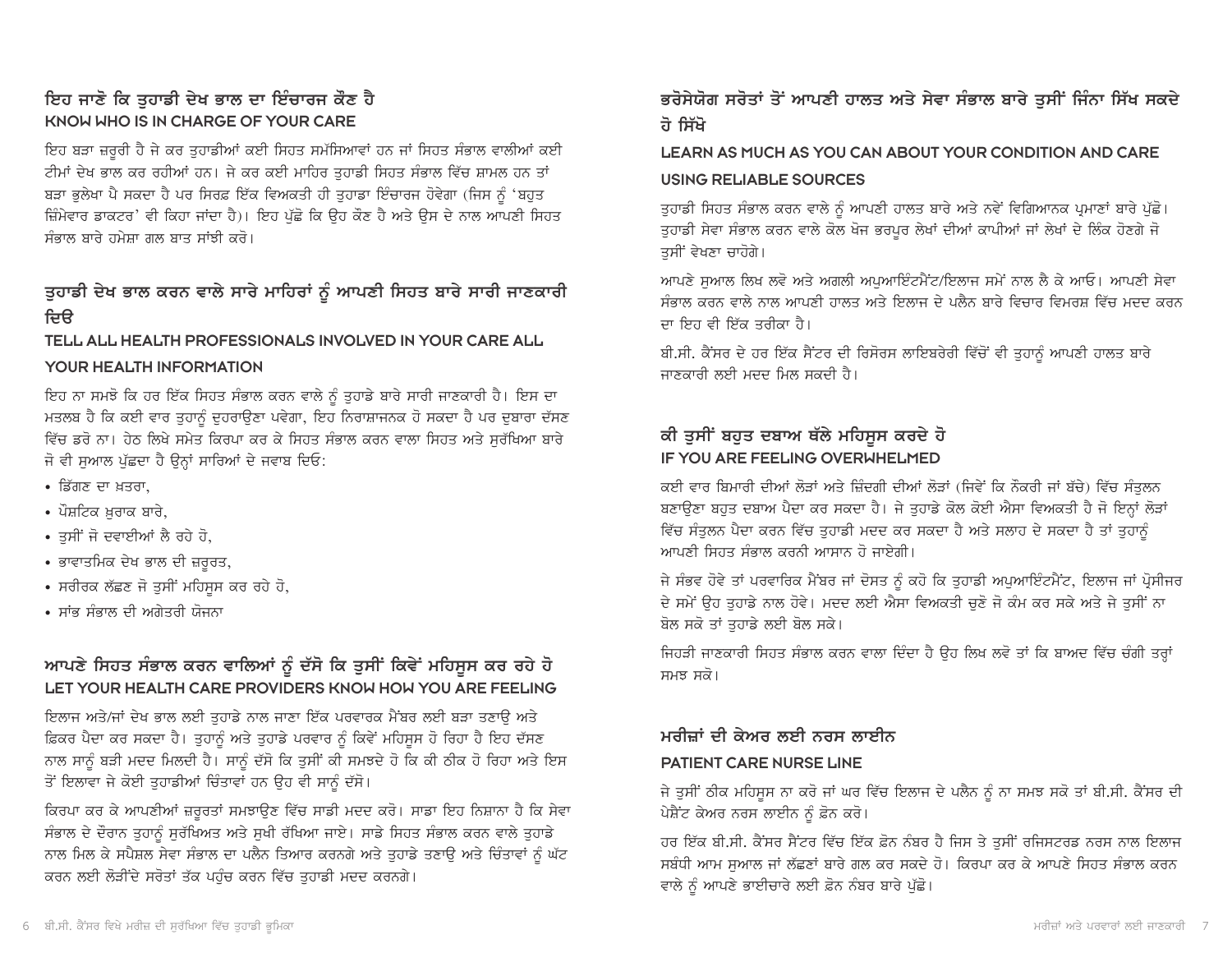### ਇਹ ਜਾਣੋ ਕਿ ਤਹਾਡੀ ਦੇਖ ਭਾਲ ਦਾ ਇੰਚਾਰਜ ਕੌਣ ਹੈ KNOW WHO IS IN CHARGE OF YOUR CARE

ਇਹ ਬੜਾ ਜ਼ਰੂਰੀ ਹੈ ਜੇ ਕਰ ਤੁਹਾਡੀਆਂ ਕਈ ਸਿਹਤ ਸਮੱਸਿਆਵਾਂ ਹਨ ਜਾਂ ਸਿਹਤ ਸੰਭਾਲ ਵਾਲੀਆਂ ਕਈ ਟੀਮਾਂ ਦੇਖ ਭਾਲ ਕਰ ਰਹੀਆਂ ਹਨ। ਜੇ ਕਰ ਕਈ ਮਾਹਿਰ ਤਹਾਡੀ ਸਿਹਤ ਸੰਭਾਲ ਵਿੱਚ ਸ਼ਾਮਲ ਹਨ ਤਾਂ ਬੜਾ ਭਲੇਖਾ ਪੈ ਸਕਦਾ ਹੈ ਪਰ ਸਿਰਫ਼ ਇੱਕ ਵਿਅਕਤੀ ਹੀ ਤਹਾਡਾ ਇੰਚਾਰਜ ਹੋਵੇਗਾ (ਜਿਸ ਨੰ 'ਬਹਤ ਜ਼ਿੰਮੇਵਾਰ ਡਾਕਟਰ' ਵੀ ਕਿਹਾ ਜਾਂਦਾ ਹੈ)। ਇਹ ਪੱਛੋ ਕਿ ਉਹ ਕੌਣ ਹੈ ਅਤੇ ਉਸ ਦੇ ਨਾਲ ਆਪਣੀ ਸਿਹਤ ਸੰਕਾਲ ਸਾਰੇ ਹਮੇਸਾ ਗਲ ਸਾਤ ਸਾਂਝੀ *ਕ*ਰੋ।

### ਤੁਹਾਡੀ ਦੇਖ ਭਾਲ ਕਰਨ ਵਾਲੇ ਸਾਰੇ ਮਾਹਿਰਾਂ ਨੂੰ ਆਪਣੀ ਸਿਹਤ ਬਾਰੇ ਸਾਰੀ ਜਾਣਕਾਰੀ ਦਿੳ

#### TELL ALL HEALTH PROFESSIONALS INVOLVED IN YOUR CARE ALL

#### YOUR HEALTH INFORMATION

ਇਹ ਨਾ ਸਮਝੋ ਕਿ ਹਰ ਇੱਕ ਸਿਹਤ ਸੰਭਾਲ ਕਰਨ ਵਾਲੇ ਨੂੰ ਤੁਹਾਡੇ ਬਾਰੇ ਸਾਰੀ ਜਾਣਕਾਰੀ ਹੈ। ਇਸ ਦਾ ਮਤਲਬ ਹੈ ਕਿ ਕਈ ਵਾਰ ਤਹਾਨੂੰ ਦਹਰਾਉਣਾ ਪਵੇਗਾ, ਇਹ ਨਿਰਾਸ਼ਾਜਨਕ ਹੋ ਸਕਦਾ ਹੈ ਪਰ ਦਬਾਰਾ ਦੱਸਣ ਵਿੱਚ ਡਰੋ ਨਾ। ਹੇਠ ਲਿਖੇ ਸਮੇਤ ਕਿਰਪਾ ਕਰ ਕੇ ਸਿਹਤ ਸੰਭਾਲ ਕਰਨ ਵਾਲਾ ਸਿਹਤ ਅਤੇ ਸਰੱਖਿਆ ਬਾਰੇ ਜੋ ਵੀ ਸਆਲ ਪੱਛਦਾ ਹੈ ਉਨ੍ਹਾਂ ਸਾਰਿਆਂ ਦੇ ਜਵਾਬ ਦਿਓ:

- ਡਿੱਗਣ ਦਾ ਖਤਰਾ
- ਪੌਸ਼ਟਿਕ ਖ਼ਰਾਕ ਬਾਰੇ,
- ਤਸੀਂ ਜੋ ਦਵਾਈਆਂ ਲੈ ਰਹੇ ਹੋ,
- ਭਾਵਾਤਮਿਕ ਦੇਖ ਭਾਲ ਦੀ ਜ਼ਰੂਰਤ,
- ਸਰੀਰਕ ਲੱਛਣ ਜੋ ਤਸੀਂ ਮਹਿਸਸ ਕਰ ਰਹੇ ਹੋ,
- ਸਾਂਭ ਸੰਭਾਲ ਦੀ ਅਗੇਤਰੀ ਯੋਜਨਾ

### ਆਪਣੇ ਸਿਹਤ ਸੰਭਾਲ ਕਰਨ ਵਾਲਿਆਂ ਨੂੰ ਦੱਸੋ ਕਿ ਤੁਸੀਂ ਕਿਵੇਂ ਮਹਿਸੂਸ ਕਰ ਰਹੇ ਹੋ LET YOUR HEALTH CARE PROVIDERS KNOW HOW YOU ARE FEELING

ਇਲਾਜ ਅਤੇ/ਜਾਂ ਦੇਖ ਭਾਲ ਲਈ ਤਹਾਡੇ ਨਾਲ ਜਾਣਾ ਇੱਕ ਪਰਵਾਰਕ ਮੈਂਬਰ ਲਈ ਬੜਾ ਤਣਾੳ ਅਤੇ ਫ਼ਿਕਰ ਪੈਦਾ ਕਰ ਸਕਦਾ ਹੈ। ਤੁਹਾਨੂੰ ਅਤੇ ਤੁਹਾਡੇ ਪਰਵਾਰ ਨੂੰ ਕਿਵੇਂ ਮਹਿਸੂਸ ਹੋ ਰਿਹਾ ਹੈ ਇਹ ਦੱਸਣ ਨਾਲ ਸਾਨੂੰ ਬੜੀ ਮਦਦ ਮਿਲਦੀ ਹੈ। ਸਾਨੂੰ ਦੱਸੋ ਕਿ ਤੁਸੀਂ ਕੀ ਸਮਝਦੇ ਹੋ ਕਿ ਕੀ ਠੀਕ ਹੋ ਰਿਹਾ ਅਤੇ ਇਸ ਤੋਂ ਇਲਾਵਾ ਜੇ ਕੋਈ ਤਹਾਡੀਆਂ ਚਿੰਤਾਵਾਂ ਹਨ ਉਹ ਵੀ ਸਾਨੰ ਦੱਸੋ।

ਕਿਰਪਾ ਕਰ ਕੇ ਆਪਣੀਆਂ ਜ਼ਰੂਰਤਾਂ ਸਮਝਾਉਣ ਵਿੱਚ ਸਾਡੀ ਮਦਦ ਕਰੋ। ਸਾਡਾ ਇਹ ਨਿਸ਼ਾਨਾ ਹੈ ਕਿ ਸੇਵਾ ਸੰਭਾਲ ਦੇ ਦੌਰਾਨ ਤੁਹਾਨੂੰ ਸੁਰੱਖਿਅਤ ਅਤੇ ਸੁਖੀ ਰੱਖਿਆ ਜਾਏ। ਸਾਡੇ ਸਿਹਤ ਸੰਭਾਲ ਕਰਨ ਵਾਲੇ ਤੁਹਾਡੇ ਨਾਲ ਮਿਲ ਕੇ ਸਪੈਸ਼ਲ ਸੇਵਾ ਸੰਭਾਲ ਦਾ ਪਲੈਨ ਤਿਆਰ ਕਰਨਗੇ ਅਤੇ ਤੁਹਾਡੇ ਤਣਾਉ ਅਤੇ ਚਿੰਤਾਵਾਂ ਨੂੰ ਘੱਟ ਕਰਨ ਲਈ ਲੋੜੀਂਦੇ ਸਰੋਤਾਂ ਤੱਕ ਪਹੁੰਚ ਕਰਨ ਵਿੱਚ ਤੁਹਾਡੀ ਮਦਦ ਕਰਨਗੇ।

### ਭਰੋਸੇਯੋਗ ਸਰੋਤਾਂ ਤੋਂ ਆਪਣੀ ਹਾਲਤ ਅਤੇ ਸੇਵਾ ਸੰਭਾਲ ਬਾਰੇ ਤਸੀਂ ਜਿੰਨਾ ਸਿੱਖ ਸਕਦੇ ਹੋ ਸਿੱਖੋ

### LEARN AS MUCH AS YOU CAN ABOUT YOUR CONDITION AND CARE **USING RELIABLE SOURCES**

ਤੁਹਾਡੀ ਸਿਹਤ ਸੰਭਾਲ ਕਰਨ ਵਾਲੇ ਨੂੰ ਆਪਣੀ ਹਾਲਤ ਬਾਰੇ ਅਤੇ ਨਵੇਂ ਵਿਗਿਆਨਕ ਪ੍ਰਮਾਣਾਂ ਬਾਰੇ ਪੁੱਛੋ। ਤੁਹਾਡੀ ਸੇਵਾ ਸੰਭਾਲ ਕਰਨ ਵਾਲੇ ਕੋਲ ਖੋਜ ਭਰਪੁਰ ਲੇਖਾਂ ਦੀਆਂ ਕਾਪੀਆਂ ਜਾਂ ਲੇਖਾਂ ਦੇ ਲਿੰਕ ਹੋਣਗੇ ਜੋ ਤਸੀਂ ਵੇਖਣਾ ਚਾਹੋਗੇ।

ਆਪਣੇ ਸਆਲ ਲਿਖ ਲਵੋ ਅਤੇ ਅਗਲੀ ਅਪਆਇੰਟਮੈਂਟ/ਇਲਾਜ ਸਮੇਂ ਨਾਲ ਲੈ ਕੇ ਆਓ। ਆਪਣੀ ਸੇਵਾ ਸੰਭਾਲ ਕਰਨ ਵਾਲੇ ਨਾਲ ਆਪਣੀ ਹਾਲਤ ਅਤੇ ਇਲਾਜ ਦੇ ਪਲੈਨ ਬਾਰੇ ਵਿਚਾਰ ਵਿਮਰਸ਼ ਵਿੱਚ ਮਦਦ ਕਰਨ ਦਾ ਇਹ ਵੀ ਇੱਕ ਤਰੀਕਾ ਹੈ।

ਬੀ.ਸੀ. ਕੈਂਸਰ ਦੇ ਹਰ ਇੱਕ ਸੈਂਟਰ ਦੀ ਰਿਸੋਰਸ ਲਾਇਬਰੇਰੀ ਵਿੱਚੋਂ ਵੀ ਤੁਹਾਨੂੰ ਆਪਣੀ ਹਾਲਤ ਬਾਰੇ ਜਾਣਕਾਰੀ ਲਈ ਮਦਦ ਮਿਲ ਸਕਦੀ ਹੈ।

### ਕੀ ਤੁਸੀਂ ਬਹੁਤ ਦਬਾਅ ਥੱਲੇ ਮਹਿਸੂਸ ਕਰਦੇ ਹੋ **IF YOU ARE FEELING OVERWHELMED**

ਕਈ ਵਾਰ ਬਿਮਾਰੀ ਦੀਆਂ ਲੋੜਾਂ ਅਤੇ ਜ਼ਿੰਦਗੀ ਦੀਆਂ ਲੋੜਾਂ (ਜਿਵੇਂ ਕਿ ਨੌਕਰੀ ਜਾਂ ਬੱਚੇ) ਵਿੱਚ ਸੰਤਲਨ ਬਣਾਉਣਾ ਬਹੁਤ ਦਬਾਅ ਪੈਦਾ ਕਰ ਸਕਦਾ ਹੈ। ਜੇ ਤੁਹਾਡੇ ਕੋਲ ਕੋਈ ਐਸਾ ਵਿਅਕਤੀ ਹੈ ਜੋ ਇਨ੍ਹਾਂ ਲੋੜਾਂ ਵਿੱਚ ਸੰਤੁਲਨ ਪੈਦਾ ਕਰਨ ਵਿੱਚ ਤੁਹਾਡੀ ਮਦਦ ਕਰ ਸਕਦਾ ਹੈ ਅਤੇ ਸਲਾਹ ਦੇ ਸਕਦਾ ਹੈ ਤਾਂ ਤੁਹਾਨੂੰ ਆਪਣੀ ਸਿਹਤ ਸੰਭਾਲ ਕਰਨੀ ਆਸਾਨ ਹੋ ਜਾਏਗੀ।

ਜੇ ਸੰਭਵ ਹੋਵੇ ਤਾਂ ਪਰਵਾਰਿਕ ਮੈਂਬਰ ਜਾਂ ਦੋਸਤ ਨੂੰ ਕਹੋ ਕਿ ਤੁਹਾਡੀ ਅਪੁਆਇੰਟਮੈਂਟ, ਇਲਾਜ ਜਾਂ ਪ੍ਰੋਸੀਜਰ ਦੇ ਸਮੇਂ ਉਹ ਤਹਾਡੇ ਨਾਲ ਹੋਵੇ। ਮਦਦ ਲਈ ਐਸਾ ਵਿਅਕਤੀ ਚਣੋ ਜੋ ਕੰਮ ਕਰ ਸਕੇ ਅਤੇ ਜੇ ਤਸੀਂ ਨਾ ਬੋਲ ਸਕੋ ਤਾਂ ਤਹਾਡੇ ਲਈ ਬੋਲ ਸਕੇ।

ਜਿਹੜੀ ਜਾਣਕਾਰੀ ਸਿਹਤ ਸੰਭਾਲ ਕਰਨ ਵਾਲਾ ਦਿੰਦਾ ਹੈ ਉਹ ਲਿਖ ਲਵੋ ਤਾਂ ਕਿ ਬਾਅਦ ਵਿੱਚ ਚੰਗੀ ਤਰ੍ਹਾਂ ਸਮਝ ਸਕੋ।

#### ਮਰੀਜ਼ਾਂ ਦੀ ਕੇਅਰ ਲਈ ਨਰਸ ਲਾਈਨ **PATIENT CARE NURSE LINE**

ਜੇ ਤੁਸੀਂ ਠੀਕ ਮਹਿਸੂਸ ਨਾ ਕਰੋ ਜਾਂ ਘਰ ਵਿੱਚ ਇਲਾਜ ਦੇ ਪਲੈਨ ਨੂੰ ਨਾ ਸਮਝ ਸਕੋ ਤਾਂ ਬੀ.ਸੀ. ਕੈਂਸਰ ਦੀ ਪੇਸ਼ੈਂਟ ਕੇਅਰ ਨਰਸ ਲਾਈਨ ਨੂੰ ਫ਼ੋਨ ਕਰੋ।

ਹਰ ਇੱਕ ਬੀ.ਸੀ. ਕੈਂਸਰ ਸੈਂਟਰ ਵਿੱਚ ਇੱਕ ਫ਼ੋਨ ਨੰਬਰ ਹੈ ਜਿਸ ਤੇ ਤਸੀਂ ਰਜਿਸਟਰਡ ਨਰਸ ਨਾਲ ਇਲਾਜ ਸਬੰਧੀ ਆਮ ਸਆਲ ਜਾਂ ਲੱਛਣਾਂ ਬਾਰੇ ਗਲ ਕਰ ਸਕਦੇ ਹੋ। ਕਿਰਪਾ ਕਰ ਕੇ ਆਪਣੇ ਸਿਹਤ ਸੰਭਾਲ ਕਰਨ ਵਾਲੇ ਨੂੰ ਆਪਣੇ ਭਾਈਚਾਰੇ ਲਈ ਫ਼ੋਨ ਨੰਬਰ ਬਾਰੇ ਪੁੱਛੋ।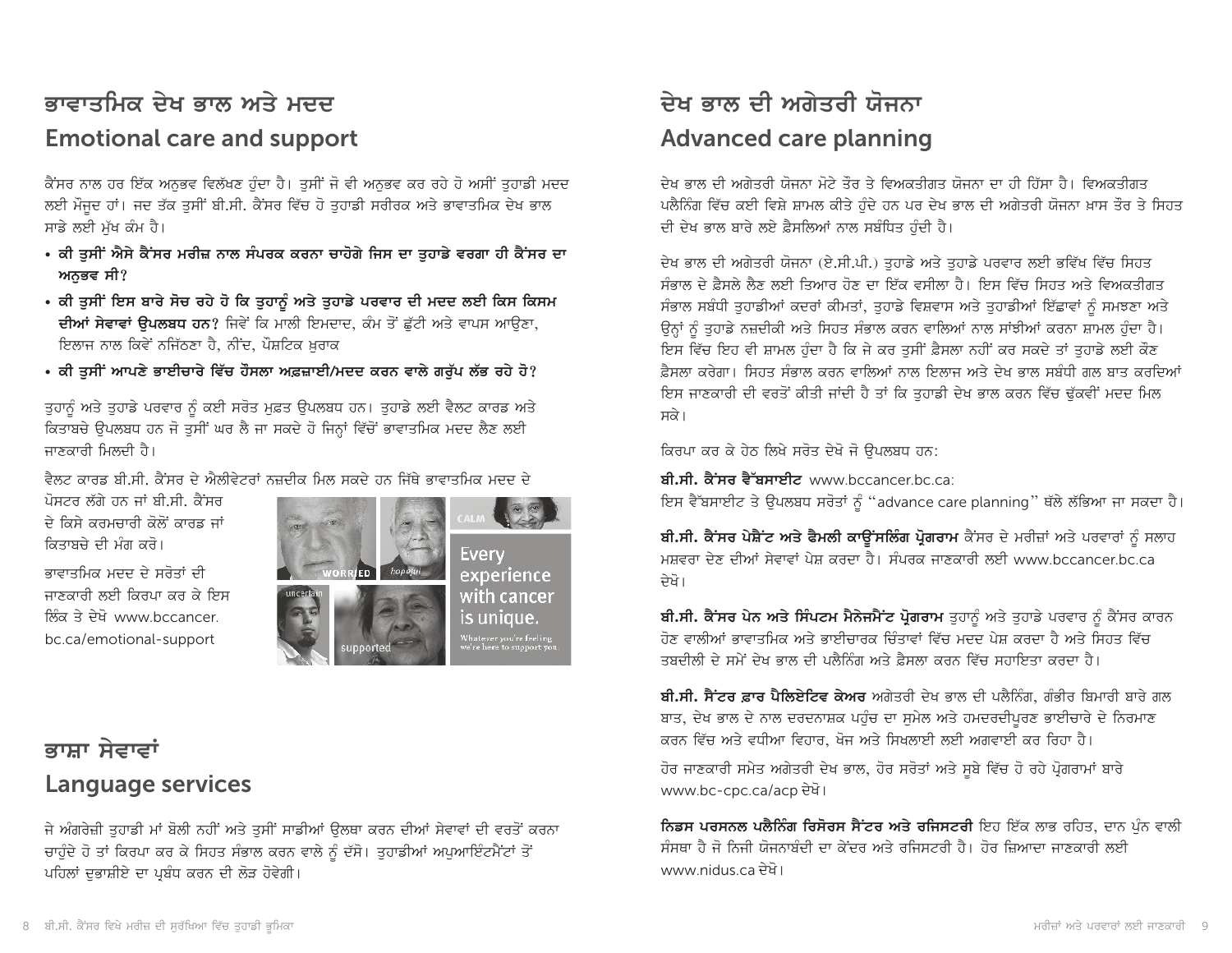# ਭਾਵਾਤਮਿਕ ਦੇਖ ਭਾਲ ਅਤੇ ਮਦਦ **Emotional care and support**

ਕੈਂਸਰ ਨਾਲ ਹਰ ਇੱਕ ਅਨਭਵ ਵਿਲੱਖਣ ਹੰਦਾ ਹੈ। ਤਸੀਂ ਜੋ ਵੀ ਅਨਭਵ ਕਰ ਰਹੇ ਹੋ ਅਸੀਂ ਤਹਾਡੀ ਮਦਦ ਲਈ ਮੌਜੂਦ ਹਾਂ। ਜਦ ਤੱਕ ਤੁਸੀਂ ਬੀ.ਸੀ. ਕੈਂਸਰ ਵਿੱਚ ਹੋ ਤੁਹਾਡੀ ਸਰੀਰਕ ਅਤੇ ਭਾਵਾਤਮਿਕ ਦੇਖ ਭਾਲ ਸਾਡੇ ਲਈ ਮੁੱਖ ਕੰਮ ਹੈ।

- ਕੀ ਤੁਸੀਂ ਐਸੇ ਕੈਂਸਰ ਮਰੀਜ਼ ਨਾਲ ਸੰਪਰਕ ਕਰਨਾ ਚਾਹੋਗੇ ਜਿਸ ਦਾ ਤੁਹਾਡੇ ਵਰਗਾ ਹੀ ਕੈਂਸਰ ਦਾ ਅਨੁਭਵ ਸੀ?
- ਕੀ ਤੁਸੀਂ ਇਸ ਬਾਰੇ ਸੋਚ ਰਹੇ ਹੋ ਕਿ ਤੁਹਾਨੂੰ ਅਤੇ ਤੁਹਾਡੇ ਪਰਵਾਰ ਦੀ ਮਦਦ ਲਈ ਕਿਸ ਕਿਸਮ ਦੀਆਂ ਸੇਵਾਵਾਂ ਉਪਲਬਧ ਹਨ? ਜਿਵੇਂ ਕਿ ਮਾਲੀ ਇਮਦਾਦ, ਕੰਮ ਤੋਂ ਛੁੱਟੀ ਅਤੇ ਵਾਪਸ ਆਉਣਾ, ਇਲਾਜ ਨਾਲ ਕਿਵੇਂ ਨਜਿੱਠਣਾ ਹੈ, ਨੀਂਦ, ਪੌਸ਼ਟਿਕ ਖ਼ਰਾਕ
- ਕੀ ਤੁਸੀਂ ਆਪਣੇ ਭਾਈਚਾਰੇ ਵਿੱਚ ਹੌਸਲਾ ਅਫ਼ਜ਼ਾਈ/ਮਦਦ ਕਰਨ ਵਾਲੇ ਗਰੁੱਪ ਲੱਭ ਰਹੇ ਹੋ?

ਤੁਹਾਨੂੰ ਅਤੇ ਤੁਹਾਡੇ ਪਰਵਾਰ ਨੂੰ ਕਈ ਸਰੋਤ ਮੁਫ਼ਤ ਉਪਲਬਧ ਹਨ। ਤੁਹਾਡੇ ਲਈ ਵੈਲਟ ਕਾਰਡ ਅਤੇ ਕਿਤਾਬਚੇ ਉਪਲਬਧ ਹਨ ਜੋ ਤੁਸੀਂ ਘਰ ਲੈ ਜਾ ਸਕਦੇ ਹੋ ਜਿਨ੍ਹਾਂ ਵਿੱਚੋਂ ਭਾਵਾਤਮਿਕ ਮਦਦ ਲੈਣ ਲਈ ਜਾਣਕਾਰੀ ਮਿਲਦੀ ਹੈ।

ਵੈਲਟ ਕਾਰਡ ਬੀ.ਸੀ. ਕੈਂਸਰ ਦੇ ਐਲੀਵੇਟਰਾਂ ਨਜ਼ਦੀਕ ਮਿਲ ਸਕਦੇ ਹਨ ਜਿੱਥੇ ਭਾਵਾਤਮਿਕ ਮਦਦ ਦੇ

ਪੋਸਟਰ ਲੱਗੇ ਹਨ ਜਾਂ ਬੀ.ਸੀ. ਕੈਂਸਰ ਦੇ ਕਿਸੇ ਕਰਮਚਾਰੀ ਕੋਲੋਂ ਕਾਰਡ ਜਾਂ ਕਿਤਾਬਚੇ ਦੀ ਮੰਗ ਕਰੋ।

ਭਾਵਾਤਮਿਕ ਮਦਦ ਦੇ ਸਰੋਤਾਂ ਦੀ ਜਾਣਕਾਰੀ ਲਈ ਕਿਰਪਾ ਕਰ ਕੇ ਇਸ ਲਿੰਕ ਤੇ ਦੇਖੋ www.bccancer. bc.ca/emotional-support



# ਭਾਸ਼ਾ ਸੇਵਾਵਾਂ **Language services**

ਜੇ ਅੰਗਰੇਜ਼ੀ ਤਹਾਡੀ ਮਾਂ ਬੋਲੀ ਨਹੀਂ ਅਤੇ ਤਸੀਂ ਸਾਡੀਆਂ ਉਲਥਾ ਕਰਨ ਦੀਆਂ ਸੇਵਾਵਾਂ ਦੀ ਵਰਤੋਂ ਕਰਨਾ ਚਾਹੁੰਦੇ ਹੋ ਤਾਂ ਕਿਰਪਾ ਕਰ ਕੇ ਸਿਹਤ ਸੰਭਾਲ ਕਰਨ ਵਾਲੇ ਨੂੰ ਦੱਸੋ। ਤੁਹਾਡੀਆਂ ਅਪੁਆਇੰਟਮੈਂਟਾਂ ਤੋਂ ਪਹਿਲਾਂ ਦਭਾਸ਼ੀਏ ਦਾ ਪਬੰਧ ਕਰਨ ਦੀ ਲੋੜ ਹੋਵੇਗੀ।

# ਦੇਖ ਭਾਲ ਦੀ ਅਗੇਤਰੀ ਯੋਜਨਾ **Advanced care planning**

ਦੇਖ ਭਾਲ ਦੀ ਅਗੇਤਰੀ ਯੋਜਨਾ ਮੋਟੇ ਤੌਰ ਤੇ ਵਿਅਕਤੀਗਤ ਯੋਜਨਾ ਦਾ ਹੀ ਹਿੱਸਾ ਹੈ। ਵਿਅਕਤੀਗਤ ਪਲੈਨਿੰਗ ਵਿੱਚ ਕਈ ਵਿਸ਼ੇ ਸ਼ਾਮਲ ਕੀਤੇ ਹੰਦੇ ਹਨ ਪਰ ਦੇਖ ਭਾਲ ਦੀ ਅਗੇਤਰੀ ਯੋਜਨਾ ਖ਼ਾਸ ਤੌਰ ਤੇ ਸਿਹਤ ਦੀ ਦੇਖ ਭਾਲ ਬਾਰੇ ਲਏ ਫ਼ੈਸਲਿਆਂ ਨਾਲ ਸਬੰਧਿਤ ਹੰਦੀ ਹੈ।

ਦੇਖ ਭਾਲ ਦੀ ਅਗੇਤਰੀ ਯੋਜਨਾ (ਏ.ਸੀ.ਪੀ.) ਤਹਾਡੇ ਅਤੇ ਤਹਾਡੇ ਪਰਵਾਰ ਲਈ ਭਵਿੱਖ ਵਿੱਚ ਸਿਹਤ ਸੰਭਾਲ ਦੇ ਫ਼ੈਸਲੇ ਲੈਣ ਲਈ ਤਿਆਰ ਹੋਣ ਦਾ ਇੱਕ ਵਸੀਲਾ ਹੈ। ਇਸ ਵਿੱਚ ਸਿਹਤ ਅਤੇ ਵਿਅਕਤੀਗਤ ਸੰਭਾਲ ਸਬੰਧੀ ਤੁਹਾਡੀਆਂ ਕਦਰਾਂ ਕੀਮਤਾਂ, ਤੁਹਾਡੇ ਵਿਸ਼ਵਾਸ ਅਤੇ ਤੁਹਾਡੀਆਂ ਇੱਛਾਵਾਂ ਨੂੰ ਸਮਝਣਾ ਅਤੇ ਉਨ੍ਹਾਂ ਨੰ ਤਹਾਡੇ ਨਜ਼ਦੀਕੀ ਅਤੇ ਸਿਹਤ ਸੰਭਾਲ ਕਰਨ ਵਾਲਿਆਂ ਨਾਲ ਸਾਂਝੀਆਂ ਕਰਨਾ ਸ਼ਾਮਲ ਹੰਦਾ ਹੈ। ਇਸ ਵਿੱਚ ਇਹ ਵੀ ਸ਼ਾਮਲ ਹੁੰਦਾ ਹੈ ਕਿ ਜੇ ਕਰ ਤੁਸੀਂ ਫ਼ੈਸਲਾ ਨਹੀਂ ਕਰ ਸਕਦੇ ਤਾਂ ਤੁਹਾਡੇ ਲਈ ਕੌਣ ਫ਼ੈਸਲਾ ਕਰੇਗਾ। ਸਿਹਤ ਸੰਭਾਲ ਕਰਨ ਵਾਲਿਆਂ ਨਾਲ ਇਲਾਜ ਅਤੇ ਦੇਖ ਭਾਲ ਸਬੰਧੀ ਗਲ ਬਾਤ ਕਰਦਿਆਂ ਇਸ ਜਾਣਕਾਰੀ ਦੀ ਵਰਤੋਂ ਕੀਤੀ ਜਾਂਦੀ ਹੈ ਤਾਂ ਕਿ ਤਹਾਡੀ ਦੇਖ ਭਾਲ ਕਰਨ ਵਿੱਚ ਢੱਕਵੀਂ ਮਦਦ ਮਿਲ ਸਕੇ।

ਕਿਰਪਾ ਕਰ ਕੇ ਹੇਠ ਲਿਖੇ ਸਰੋਤ ਦੇਖੋ ਜੋ ੳਪਲਬਧ ਹਨ:

ਬੀ.ਸੀ. ਕੈਂਸਰ ਵੈੱਬਸਾਈਟ www.bccancer.bc.ca:

ਇਸ ਵੈੱਬਸਾਈਟ ਤੇ ਉਪਲਬਧ ਸਰੋਤਾਂ ਨੂੰ "advance care planning" ਥੱਲੇ ਲੱਭਿਆ ਜਾ ਸਕਦਾ ਹੈ।

ਬੀ.ਸੀ. ਕੈਂਸਰ ਪੇਸ਼ੈਂਟ ਅਤੇ ਫੈਮਲੀ ਕਾਊਂਸਲਿੰਗ ਪ੍ਰੋਗਰਾਮ ਕੈਂਸਰ ਦੇ ਮਰੀਜ਼ਾਂ ਅਤੇ ਪਰਵਾਰਾਂ ਨੂੰ ਸਲਾਹ ਮਸਵਰਾ ਦੇਣ ਦੀਆਂ ਸੇਵਾਵਾਂ ਪੇਸ਼ ਕਰਦਾ ਹੈ। ਸੰਪਰਕ ਚਾਣਕਾਰੀ ਲਈ www.bccancer.bc.ca ਦੇਖੋ।

ਬੀ.ਸੀ. ਕੈਂਸਰ ਪੇਨ ਅਤੇ ਸਿੰਪਟਮ ਮੈਨੇਜਮੈਂਟ ਪੋਗਰਾਮ ਤਹਾਨੂੰ ਅਤੇ ਤਹਾਡੇ ਪਰਵਾਰ ਨੂੰ ਕੈਂਸਰ ਕਾਰਨ ਹੋਣ ਵਾਲੀਆਂ ਕਾਵਾਤਮਿਕ ਅਤੇ ਕਾਈਜ਼ਾਰਕ ਜ਼ਿੰਤਾਵਾਂ ਵਿੱਚ ਮਦਦ ਪੇਸ਼ ਕਰਦਾ ਹੈ ਅਤੇ ਸਿਹਤ ਵਿੱਚ ਤਬਦੀਲੀ ਦੇ ਸਮੇਂ ਦੇਖ ਕਾਲ ਦੀ ਪਲੈਨਿੰਗ ਅਤੇ ਫ਼ੈਸਲਾ ਕਰਨ ਵਿੱਚ ਸਹਾਇਤਾ ਕਰਦਾ ਹੈ।

ਬੀ.ਸੀ. ਸੈਂਟਰ ਫ਼ਾਰ ਪੈਲਿਏਟਿਵ ਕੇਅਰ ਅਗੇਤਰੀ ਦੇਖ ਭਾਲ ਦੀ ਪਲੈਨਿੰਗ, ਗੰਭੀਰ ਬਿਮਾਰੀ ਬਾਰੇ ਗਲ ਬਾਤ, ਦੇਖ ਭਾਲ ਦੇ ਨਾਲ ਦਰਦਨਾਸ਼ਕ ਪਹੁੰਚ ਦਾ ਸਮੇਲ ਅਤੇ ਹਮਦਰਦੀਪਰਣ ਭਾਈਚਾਰੇ ਦੇ ਨਿਰਮਾਣ ਕਰਨ ਵਿੱਚ ਅਤੇ ਵਧੀਆ ਵਿਹਾਰ, ਖੋਜ ਅਤੇ ਸਿਖਲਾਈ ਲਈ ਅਗਵਾਈ ਕਰ ਰਿਹਾ ਹੈ।

ਹੋਰ ਜਾਣਕਾਰੀ ਸਮੇਤ ਅਗੇਤਰੀ ਦੇਖ ਭਾਲ, ਹੋਰ ਸਰੋਤਾਂ ਅਤੇ ਸੂਬੇ ਵਿੱਚ ਹੋ ਰਹੇ ਪ੍ਰੋਗਰਾਮਾਂ ਬਾਰੇ www.bc-cpc.ca/acp ਦੇਖੋ।

ਨਿਡਸ ਪਰਸਨਲ ਪਲੈਨਿੰਗ ਰਿਸੋਰਸ ਸੈਂਟਰ ਅਤੇ ਰਜਿਸਟਰੀ ਇਹ ਇੱਕ ਲਾਭ ਰਹਿਤ, ਦਾਨ ਪੁੰਨ ਵਾਲੀ ਸੰਸਥਾ ਹੈ ਜੋ ਨਿਜੀ ਯੋਜਨਾਬੰਦੀ ਦਾ ਕੇਂਦਰ ਅਤੇ ਰਜਿਸਟਰੀ ਹੈ। ਹੋਰ ਜਿਆਦਾ ਜਾਣਕਾਰੀ ਲਈ www.nidus.ca ਦੇਖੋ।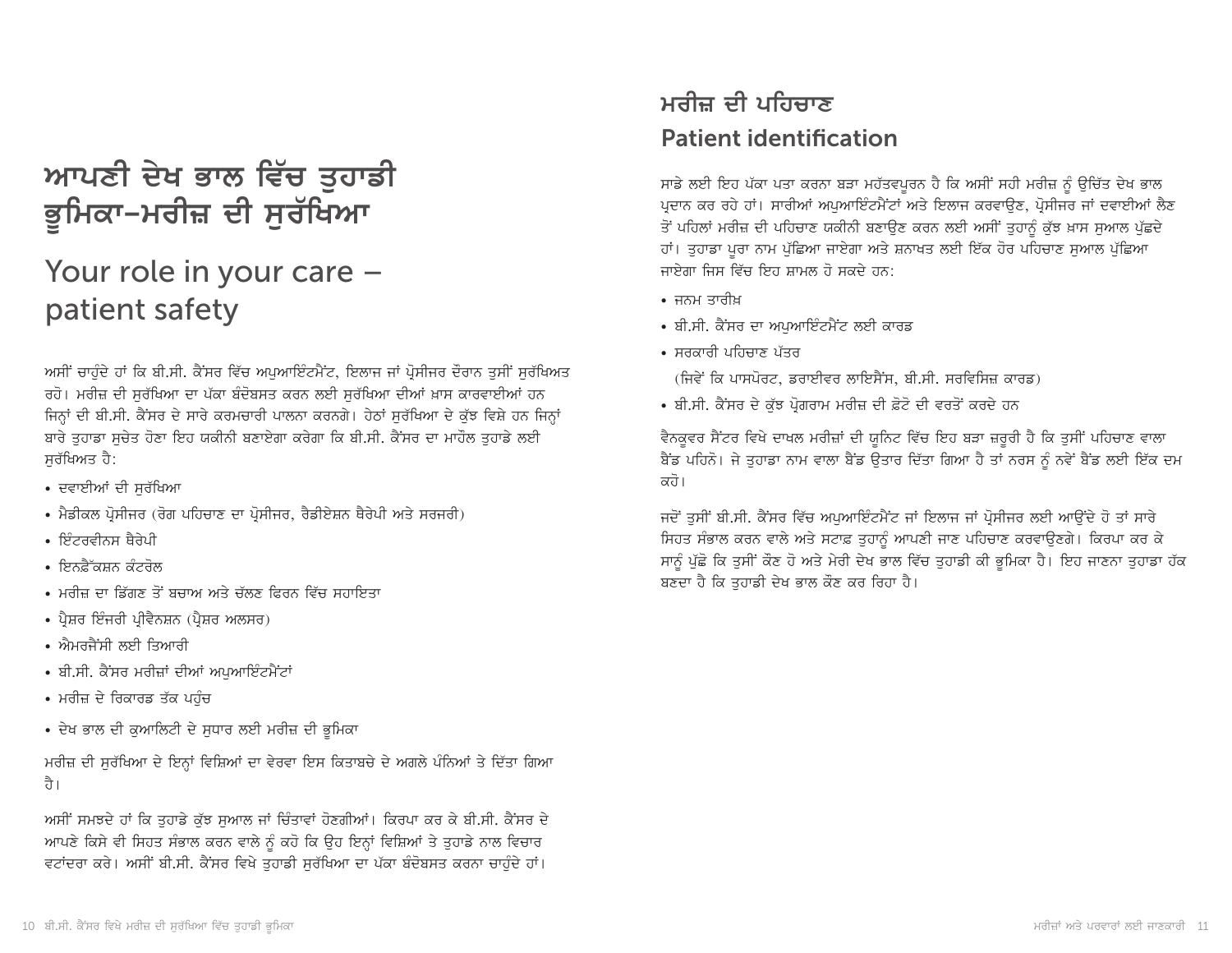# ਆਪਣੀ ਦੇਖ ਭਾਲ ਵਿੱਚ ਤੁਹਾਡੀ ਭੂਮਿਕਾ–ਮਰੀਜ਼ ਦੀ ਸੁਰੱਖਿਆ

# Your role in your care patient safety

ਅਸੀਂ ਚਾਹੰਦੇ ਹਾਂ ਕਿ ਬੀ.ਸੀ. ਕੈਂਸਰ ਵਿੱਚ ਅਪਆਇੰਟਮੈਂਟ, ਇਲਾਜ ਜਾਂ ਪ੍ਰੋਸੀਜਰ ਦੌਰਾਨ ਤਸੀਂ ਸਰੱਖਿਅਤ ਰਹੋ। ਮਰੀਜ਼ ਦੀ ਸਰੱਖਿਆ ਦਾ ਪੱਕਾ ਬੰਦੋਬਸਤ ਕਰਨ ਲਈ ਸਰੱਖਿਆ ਦੀਆਂ ਖ਼ਾਸ ਕਾਰਵਾਈਆਂ ਹਨ ਜਿਨ੍ਹਾਂ ਦੀ ਬੀ.ਸੀ. ਕੈਂਸਰ ਦੇ ਸਾਰੇ ਕਰਮਚਾਰੀ ਪਾਲਨਾ ਕਰਨਗੇ। ਹੇਠਾਂ ਸਰੱਖਿਆ ਦੇ ਕੱਝ ਵਿਸ਼ੇ ਹਨ ਜਿਨ੍ਹਾਂ ਬਾਰੇ ਤਹਾਡਾ ਸਚੇਤ ਹੋਣਾ ਇਹ ਯਕੀਨੀ ਬਣਾਏਗਾ ਕਰੇਗਾ ਕਿ ਬੀ.ਸੀ. ਕੈਂਸਰ ਦਾ ਮਾਹੌਲ ਤਹਾਡੇ ਲਈ ਸਰੱਖਿਅਤ ਹੈ:

- ਦਵਾਈਆਂ ਦੀ ਸਰੱਖਿਆ
- ਮੈਡੀਕਲ ਪ੍ਰੋਸੀਜਰ (ਰੋਗ ਪਹਿਚਾਣ ਦਾ ਪ੍ਰੋਸੀਜਰ, ਰੈਡੀਏਸ਼ਨ ਥੈਰੇਪੀ ਅਤੇ ਸਰਜਰੀ)
- ਇੰਟਰਵੀਨਸ ਥੈਰੇਪੀ
- ਇਨਫ਼ੈੱਕਸ਼ਨ ਕੰਟਰੋਲ
- ਮਰੀਜ਼ ਦਾ ਡਿੱਗਣ ਤੋਂ ਬਚਾਅ ਅਤੇ ਚੱਲਣ ਫਿਰਨ ਵਿੱਚ ਸਹਾਇਤਾ
- ਪ੍ਰੈਸ਼ਰ ਇੰਜਰੀ ਪ੍ਰੀਵੈਨਸ਼ਨ (ਪ੍ਰੈਸ਼ਰ ਅਲਸਰ)
- ਐਮਰਜੈਂਸੀ ਲਈ ਤਿਆਰੀ
- ਬੀ.ਸੀ. ਕੈਂਸਰ ਮਰੀਜ਼ਾਂ ਦੀਆਂ ਅਪੁਆਇੰਟਮੈਂਟਾਂ
- ਮਰੀਜ਼ ਦੇ ਰਿਕਾਰਡ ਤੱਕ ਪਹੰਚ
- ਦੇਖ ਭਾਲ ਦੀ ਕੁਆਲਿਟੀ ਦੇ ਸੁਧਾਰ ਲਈ ਮਰੀਜ਼ ਦੀ ਭੂਮਿਕਾ

ਮਰੀਜ਼ ਦੀ ਸਰੱਖਿਆ ਦੇ ਇਨ੍ਹਾਂ ਵਿਸ਼ਿਆਂ ਦਾ ਵੇਰਵਾ ਇਸ ਕਿਤਾਬਚੇ ਦੇ ਅਗਲੇ ਪੰਨਿਆਂ ਤੇ ਦਿੱਤਾ ਗਿਆ ਹੈ।

ਅਸੀਂ ਸਮਝਦੇ ਹਾਂ ਕਿ ਤਹਾਡੇ ਕੱਝ ਸਆਲ ਜਾਂ ਚਿੰਤਾਵਾਂ ਹੋਣਗੀਆਂ। ਕਿਰਪਾ ਕਰ ਕੇ ਬੀ.ਸੀ. ਕੈਂਸਰ ਦੇ ਆਪਣੇ ਕਿਸੇ ਵੀ ਸਿਹਤ ਸੰਭਾਲ ਕਰਨ ਵਾਲੇ ਨੂੰ ਕਹੋ ਕਿ ਉਹ ਇਨ੍ਹਾਂ ਵਿਸ਼ਿਆਂ ਤੇ ਤੁਹਾਡੇ ਨਾਲ ਵਿਚਾਰ ਵਟਾਂਦਰਾ ਕਰੇ। ਅਸੀਂ ਬੀ.ਸੀ. ਕੈਂਸਰ ਵਿਖੇ ਤੁਹਾਡੀ ਸੁਰੱਖਿਆ ਦਾ ਪੱਕਾ ਬੰਦੋਬਸਤ ਕਰਨਾ ਚਾਹੁੰਦੇ ਹਾਂ।

# ਮਰੀਜ਼ ਦੀ ਪਹਿਚਾਣ **Patient identification**

ਸਾਡੇ ਲਈ ਇਹ ਪੱਕਾ ਪਤਾ ਕਰਨਾ ਬੜਾ ਮਹੱਤਵਪੂਰਨ ਹੈ ਕਿ ਅਸੀਂ ਸਹੀ ਮਰੀਜ਼ ਨੂੰ ਉਚਿੱਤ ਦੇਖ ਭਾਲ ਪ੍ਰਦਾਨ ਕਰ ਰਹੇ ਹਾਂ। ਸਾਰੀਆਂ ਅਪੁਆਇੰਟਮੈਂਟਾਂ ਅਤੇ ਇਲਾਜ ਕਰਵਾਉਣ, ਪ੍ਰੋਸੀਜਰ ਜਾਂ ਦਵਾਈਆਂ ਲੈਣ ਤੋਂ ਪਹਿਲਾਂ ਮਰੀਜ਼ ਦੀ ਪਹਿਚਾਣ ਯਕੀਨੀ ਬਣਾਉਣ ਕਰਨ ਲਈ ਅਸੀਂ ਤੁਹਾਨੂੰ ਕੁੱਝ ਖ਼ਾਸ ਸੁਆਲ ਪੁੱਛਦੇ ਹਾਂ। ਤੁਹਾਡਾ ਪੂਰਾ ਨਾਮ ਪੁੱਛਿਆ ਜਾਏਗਾ ਅਤੇ ਸ਼ਨਾਖਤ ਲਈ ਇੱਕ ਹੋਰ ਪਹਿਚਾਣ ਸੁਆਲ ਪੁੱਛਿਆ ਜਾਏਗਾ ਜਿਸ ਵਿੱਚ ਇਹ ਸ਼ਾਮਲ ਹੋ ਸਕਦੇ ਹਨ:

- ਜਨਮ ਤਾਰੀਖ
- ਬੀ.ਸੀ. ਕੈਂਸਰ ਦਾ ਅਪਆਇੰਟਮੈਂਟ ਲਈ ਕਾਰਡ
- ਸਰਕਾਰੀ ਪਹਿਚਾਣ ਪੱਤਰ

(ਜਿਵੇਂ ਕਿ ਪਾਸਪੋਰਟ, ਡਰਾਈਵਰ ਲਾਇਸੈਂਸ, ਬੀ.ਸੀ. ਸਰਵਿਸਿਜ਼ ਕਾਰਡ)

• ਬੀ.ਸੀ. ਕੈਂਸਰ ਦੇ ਕੱਝ ਪੋਗਰਾਮ ਮਰੀਜ਼ ਦੀ ਫ਼ੋਟੋ ਦੀ ਵਰਤੋਂ ਕਰਦੇ ਹਨ

ਵੈਨਕੁਵਰ ਸੈਂਟਰ ਵਿਖੇ ਦਾਖਲ ਮਰੀਜ਼ਾਂ ਦੀ ਯੁਨਿਟ ਵਿੱਚ ਇਹ ਬੜਾ ਜ਼ਰੂਰੀ ਹੈ ਕਿ ਤੁਸੀਂ ਪਹਿਚਾਣ ਵਾਲਾ ਬੈਂਡ ਪਹਿਨੋ। ਜੇ ਤੁਹਾਡਾ ਨਾਮ ਵਾਲਾ ਬੈਂਡ ਉਤਾਰ ਦਿੱਤਾ ਗਿਆ ਹੈ ਤਾਂ ਨਰਸ ਨੂੰ ਨਵੇਂ ਬੈਂਡ ਲਈ ਇੱਕ ਦਮ ਕਹੋ।

ਜਦੋਂ ਤਸੀਂ ਬੀ.ਸੀ. ਕੈਂਸਰ ਵਿੱਚ ਅਪਆਇੰਟਮੈਂਟ ਜਾਂ ਇਲਾਜ ਜਾਂ ਪ੍ਰੋਸੀਜਰ ਲਈ ਆਉਂਦੇ ਹੋ ਤਾਂ ਸਾਰੇ ਸਿਹਤ ਸੰਭਾਲ ਕਰਨ ਵਾਲੇ ਅਤੇ ਸਟਾਫ਼ ਤੁਹਾਨੂੰ ਆਪਣੀ ਜਾਣ ਪਹਿਚਾਣ ਕਰਵਾਉਣਗੇ। ਕਿਰਪਾ ਕਰ ਕੇ ਸਾਨੂੰ ਪੱਛੋ ਕਿ ਤੁਸੀਂ ਕੌਣ ਹੋ ਅਤੇ ਮੇਰੀ ਦੇਖ ਭਾਲ ਵਿੱਚ ਤੁਹਾਡੀ ਕੀ ਭੂਮਿਕਾ ਹੈ। ਇਹ ਜਾਣਨਾ ਤੁਹਾਡਾ ਹੱਕ ਬਣਦਾ ਹੈ ਕਿ ਤਹਾਡੀ ਦੇਖ ਭਾਲ ਕੌਣ ਕਰ ਰਿਹਾ ਹੈ।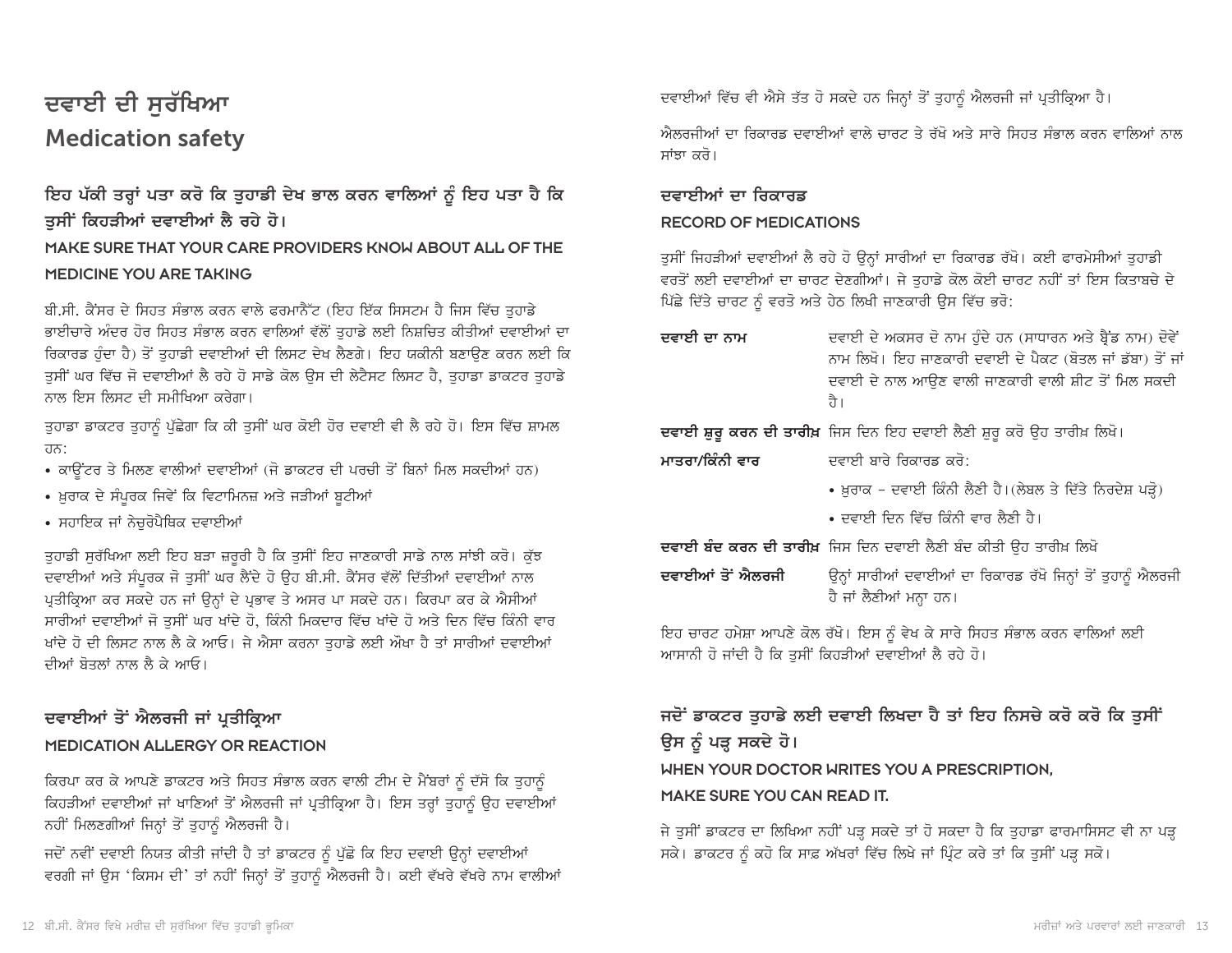## ਦਵਾਈ ਦੀ ਸੁਰੱਖਿਆ **Medication safety**

### ਇਹ ਪੱਕੀ ਤਰ੍ਹਾਂ ਪਤਾ ਕਰੋ ਕਿ ਤੁਹਾਡੀ ਦੇਖ ਭਾਲ ਕਰਨ ਵਾਲਿਆਂ ਨੂੰ ਇਹ ਪਤਾ ਹੈ ਕਿ ਤੁਸੀਂ ਕਿਹੜੀਆਂ ਦਵਾਈਆਂ ਲੈ ਰਹੇ ਹੋ। MAKE SURE THAT YOUR CARE PROVIDERS KNOW ABOUT ALL OF THE MEDICINE YOU ARE TAKING

ਬੀ.ਸੀ. ਕੈਂਸਰ ਦੇ ਸਿਹਤ ਸੰਭਾਲ ਕਰਨ ਵਾਲੇ ਫਰਮਾਨੈੱਟ (ਇਹ ਇੱਕ ਸਿਸਟਮ ਹੈ ਜਿਸ ਵਿੱਚ ਤੁਹਾਡੇ ਭਾਈਚਾਰੇ ਅੰਦਰ ਹੋਰ ਸਿਹਤ ਸੰਭਾਲ ਕਰਨ ਵਾਲਿਆਂ ਵੱਲੋਂ ਤਹਾਡੇ ਲਈ ਨਿਸ਼ਚਿਤ ਕੀਤੀਆਂ ਦਵਾਈਆਂ ਦਾ ਰਿਕਾਰਡ ਹੰਦਾ ਹੈ) ਤੋਂ ਤਹਾਡੀ ਦਵਾਈਆਂ ਦੀ ਲਿਸਟ ਦੇਖ ਲੈਣਗੇ। ਇਹ ਯਕੀਨੀ ਬਣਾਉਣ ਕਰਨ ਲਈ ਕਿ ਤੁਸੀਂ ਘਰ ਵਿੱਚ ਜੋ ਦਵਾਈਆਂ ਲੈ ਰਹੇ ਹੋ ਸਾਡੇ ਕੋਲ ਉਸ ਦੀ ਲੇਟੈਸਟ ਲਿਸਟ ਹੈ, ਤੁਹਾਡਾ ਡਾਕਟਰ ਤੁਹਾਡੇ ਨਾਲ ਇਸ ਲਿਸਟ ਦੀ ਸਮੀਖਿਆ ਕਰੇਗਾ।

ਤੁਹਾਡਾ ਡਾਕਟਰ ਤੁਹਾਨੂੰ ਪੁੱਛੇਗਾ ਕਿ ਕੀ ਤੁਸੀਂ ਘਰ ਕੋਈ ਹੋਰ ਦਵਾਈ ਵੀ ਲੈ ਰਹੇ ਹੋ। ਇਸ ਵਿੱਚ ਸ਼ਾਮਲ ਹਨ:

- ਕਾਉਂਟਰ ਤੇ ਮਿਲਣ ਵਾਲੀਆਂ ਦਵਾਈਆਂ (ਜੋ ਡਾਕਟਰ ਦੀ ਪਰਚੀ ਤੋਂ ਬਿਨਾਂ ਮਿਲ ਸਕਦੀਆਂ ਹਨ)
- ਖ਼ੁਰਾਕ ਦੇ ਸੰਪੁਰਕ ਜਿਵੇਂ ਕਿ ਵਿਟਾਮਿਨਜ਼ ਅਤੇ ਜੜੀਆਂ ਬੁਟੀਆਂ
- ਸਹਾਇਕ ਜਾਂ ਨੇਚਰੋਪੈਥਿਕ ਦਵਾਈਆਂ

ਤੁਹਾਡੀ ਸੁਰੱਖਿਆ ਲਈ ਇਹ ਬੜਾ ਜ਼ਰੂਰੀ ਹੈ ਕਿ ਤੁਸੀਂ ਇਹ ਜਾਣਕਾਰੀ ਸਾਡੇ ਨਾਲ ਸਾਂਝੀ ਕਰੋ। ਕੁੱਝ ਦਵਾਈਆਂ ਅਤੇ ਸੰਪੂਰਕ ਜੋ ਤੁਸੀਂ ਘਰ ਲੈਂਦੇ ਹੋ ਉਹ ਬੀ.ਸੀ. ਕੈਂਸਰ ਵੱਲੋਂ ਦਿੱਤੀਆਂ ਦਵਾਈਆਂ ਨਾਲ ਪ੍ਰਤੀਕ੍ਰਿਆ ਕਰ ਸਕਦੇ ਹਨ ਜਾਂ ਉਨ੍ਹਾਂ ਦੇ ਪ੍ਰਭਾਵ ਤੇ ਅਸਰ ਪਾ ਸਕਦੇ ਹਨ। ਕਿਰਪਾ ਕਰ ਕੇ ਐਸੀਆਂ ਸਾਰੀਆਂ ਦਵਾਈਆਂ ਜੋ ਤਸੀਂ ਘਰ ਖਾਂਦੇ ਹੋ, ਕਿੰਨੀ ਮਿਕਦਾਰ ਵਿੱਚ ਖਾਂਦੇ ਹੋ ਅਤੇ ਦਿਨ ਵਿੱਚ ਕਿੰਨੀ ਵਾਰ ਖਾਂਦੇ ਹੋ ਦੀ ਲਿਸਟ ਨਾਲ ਲੈ ਕੇ ਆਓ। ਜੇ ਐਸਾ ਕਰਨਾ ਤਹਾਡੇ ਲਈ ਔਖਾ ਹੈ ਤਾਂ ਸਾਰੀਆਂ ਦਵਾਈਆਂ ਦੀਆਂ ਬੋਤਲਾਂ ਨਾਲ ਲੈ ਕੇ ਆਓ।

#### ਦਵਾਈਆਂ ਤੋਂ ਐਲਰਜੀ ਜਾਂ ਪ੍ਰਤੀਕ੍ਰਿਆ

#### MEDICATION ALLERGY OR REACTION

ਕਿਰਪਾ ਕਰ ਕੇ ਆਪਣੇ ਡਾਕਟਰ ਅਤੇ ਸਿਹਤ ਸੰਭਾਲ ਕਰਨ ਵਾਲੀ ਟੀਮ ਦੇ ਮੈਂਬਰਾਂ ਨੂੰ ਦੱਸੋ ਕਿ ਤੁਹਾਨੂੰ ਕਿਹੜੀਆਂ ਦਵਾਈਆਂ ਜਾਂ ਖਾਣਿਆਂ ਤੋਂ ਐਲਰਜੀ ਜਾਂ ਪ੍ਰਤੀਕ੍ਰਿਆ ਹੈ। ਇਸ ਤਰ੍ਹਾਂ ਤਹਾਨੂੰ ਉਹ ਦਵਾਈਆਂ ਨਹੀਂ ਮਿਲਣਗੀਆਂ ਜਿਨ੍ਹਾਂ ਤੋਂ ਤੁਹਾਨੂੰ ਐਲਰਜੀ ਹੈ।

ਜਦੋਂ ਨਵੀਂ ਦਵਾਈ ਨਿਯਤ ਕੀਤੀ ਜਾਂਦੀ ਹੈ ਤਾਂ ਡਾਕਟਰ ਨੂੰ ਪੁੱਛੋ ਕਿ ਇਹ ਦਵਾਈ ਉਨ੍ਹਾਂ ਦਵਾਈਆਂ ਵਰਗੀ ਜਾਂ ਉਸ 'ਕਿਸਮ ਦੀ' ਤਾਂ ਨਹੀਂ ਜਿਨ੍ਹਾਂ ਤੋਂ ਤਹਾਨੂੰ ਐਲਰਜੀ ਹੈ। ਕਈ ਵੱਖਰੇ ਵੱਖਰੇ ਨਾਮ ਵਾਲੀਆਂ ਦਵਾਈਆਂ ਵਿੱਚ ਵੀ ਐਸੇ ਤੱਤ ਹੋ ਸਕਦੇ ਹਨ ਜਿਨ੍ਹਾਂ ਤੋਂ ਤੁਹਾਨੂੰ ਐਲਰਜੀ ਜਾਂ ਪ੍ਰਤੀਕ੍ਰਿਆ ਹੈ।

ਐਲਰਜੀਆਂ ਦਾ ਰਿਕਾਰਡ ਦਵਾਈਆਂ ਵਾਲੇ ਚਾਰਟ ਤੇ ਰੱਖੋ ਅਤੇ ਸਾਰੇ ਸਿਹਤ ਸੰਭਾਲ ਕਰਨ ਵਾਲਿਆਂ ਨਾਲ ਸਾਂਝਾ ਕਰੋ।

### ਦਵਾਈਆਂ ਦਾ ਰਿਕਾਰਡ **RECORD OF MEDICATIONS**

ਤੁਸੀਂ ਜਿਹੜੀਆਂ ਦਵਾਈਆਂ ਲੈ ਰਹੇ ਹੋ ਉਨ੍ਹਾਂ ਸਾਰੀਆਂ ਦਾ ਰਿਕਾਰਡ ਰੱਖੋ। ਕਈ ਫਾਰਮੇਸੀਆਂ ਤੁਹਾਡੀ ਵਰਤੋਂ ਲਈ ਦਵਾਈਆਂ ਦਾ ਚਾਰਟ ਦੇਣਗੀਆਂ। ਜੇ ਤੁਹਾਡੇ ਕੋਲ ਕੋਈ ਚਾਰਟ ਨਹੀਂ ਤਾਂ ਇਸ ਕਿਤਾਬਚੇ ਦੇ ਪਿੱਛੇ ਦਿੱਤੇ ਚਾਰਟ ਨੂੰ ਵਰਤੋ ਅਤੇ ਹੇਠ ਲਿਖੀ ਜਾਣਕਾਰੀ ਉਸ ਵਿੱਚ ਭਰੋ:

- ਦਵਾਈ ਦੇ ਅਕਸਰ ਦੋ ਨਾਮ ਹੁੰਦੇ ਹਨ (ਸਾਧਾਰਨ ਅਤੇ ਬ੍ਰੈਂਡ ਨਾਮ) ਦੋਵੇਂ ਦਵਾਈ ਦਾ ਨਾਮ ਨਾਮ ਲਿਖੋ। ਇਹ ਜਾਣਕਾਰੀ ਦਵਾਈ ਦੇ ਪੈਕਟ (ਬੋਤਲ ਜਾਂ ਡੱਬਾ) ਤੋਂ ਜਾਂ ਦਵਾਈ ਦੇ ਨਾਲ ਆਉਣ ਵਾਲੀ ਜਾਣਕਾਰੀ ਵਾਲੀ ਸ਼ੀਟ ਤੋਂ ਮਿਲ ਸਕਦੀ ते । ਦਵਾਈ ਸ਼ੁਰੂ ਕਰਨ ਦੀ ਤਾਰੀਖ਼ ਜਿਸ ਦਿਨ ਇਹ ਦਵਾਈ ਲੈਣੀ ਸ਼ੁਰੂ ਕਰੋ ਉਹ ਤਾਰੀਖ਼ ਲਿਖੋ।
- ਦਵਾਈ ਸਾਰੇ ਰਿਕਾਰਡ ਕਰੋ $\cdot$ ਮਾਤਰਾ/ਕਿੰਨੀ ਵਾਰ
	- ਖ਼ਰਾਕ ਦਵਾਈ ਕਿੰਨੀ ਲੈਣੀ ਹੈ। (ਲੇਬਲ ਤੇ ਦਿੱਤੇ ਨਿਰਦੇਸ਼ ਪੜ੍ਹੋ)
	- ਦਵਾਈ ਦਿਨ ਵਿੱਚ ਕਿੰਨੀ ਵਾਰ ਲੈਣੀ ਹੈ।

ਦਵਾਈ ਬੰਦ ਕਰਨ ਦੀ ਤਾਰੀਖ਼ ਜਿਸ ਦਿਨ ਦਵਾਈ ਲੈਣੀ ਬੰਦ ਕੀਤੀ ਉਹ ਤਾਰੀਖ਼ ਲਿਖੋ

ਦਵਾਈਆਂ ਤੋਂ ਐਲਰਜੀ ਉਨ੍ਹਾਂ ਸਾਰੀਆਂ ਦਵਾਈਆਂ ਦਾ ਰਿਕਾਰਡ ਰੱਖੋ ਜਿਨ੍ਹਾਂ ਤੋਂ ਤੁਹਾਨੂੰ ਐਲਰਜੀ ਹੈ ਜਾਂ ਲੈਣੀਆਂ ਮਨ੍ਹਾ ਹਨ।

ਇਹ ਚਾਰਟ ਹਮੇਸ਼ਾ ਆਪਣੇ ਕੋਲ ਰੱਖੋ। ਇਸ ਨੂੰ ਵੇਖ ਕੇ ਸਾਰੇ ਸਿਹਤ ਸੰਭਾਲ ਕਰਨ ਵਾਲਿਆਂ ਲਈ ਆਸਾਨੀ ਹੋ ਜਾਂਦੀ ਹੈ ਕਿ ਤਸੀਂ ਕਿਹੜੀਆਂ ਦਵਾਈਆਂ ਲੈ ਰਹੇ ਹੋ।

### ਜਦੋਂ ਡਾਕਟਰ ਤੁਹਾਡੇ ਲਈ ਦਵਾਈ ਲਿਖਦਾ ਹੈ ਤਾਂ ਇਹ ਨਿਸਚੇ ਕਰੋ ਕਰੋ ਕਿ ਤੁਸੀਂ ਉਸ ਨੂੰ ਪੜ੍ਹ ਸਕਦੇ ਹੋ। WHEN YOUR DOCTOR WRITES YOU A PRESCRIPTION. MAKE SURE YOU CAN READ IT.

ਜੇ ਤੁਸੀਂ ਡਾਕਟਰ ਦਾ ਲਿਖਿਆ ਨਹੀਂ ਪੜ੍ਹ ਸਕਦੇ ਤਾਂ ਹੋ ਸਕਦਾ ਹੈ ਕਿ ਤੁਹਾਡਾ ਫਾਰਮਾਸਿਸਟ ਵੀ ਨਾ ਪੜ੍ਹ ਸਕੇ। ਡਾਕਟਰ ਨੂੰ ਕਹੋ ਕਿ ਸਾਫ਼ ਅੱਖਰਾਂ ਵਿੱਚ ਲਿਖੇ ਜਾਂ ਪ੍ਰਿੰਟ ਕਰੇ ਤਾਂ ਕਿ ਤੁਸੀਂ ਪੜ੍ਹ ਸਕੋ।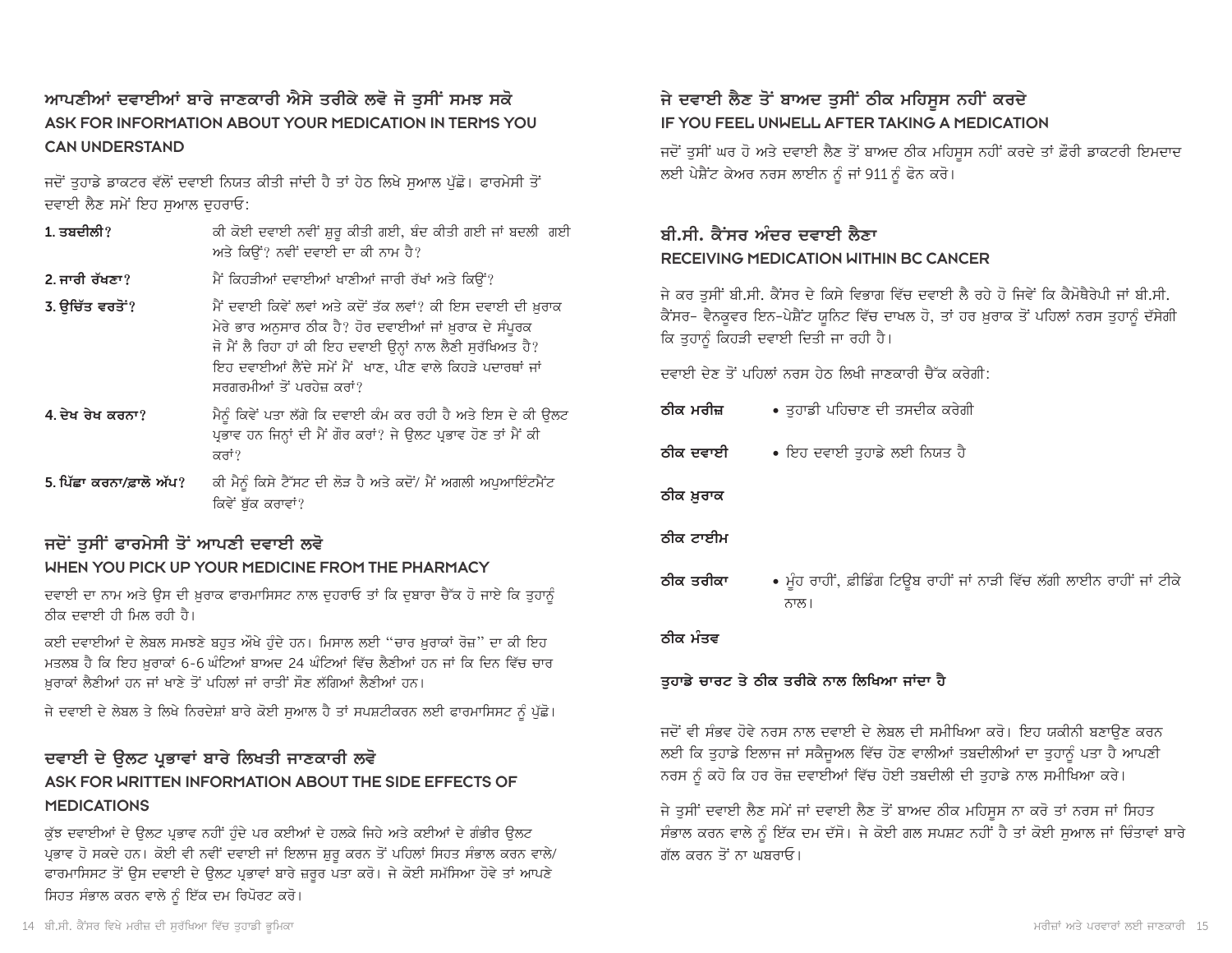### ਆਪਣੀਆਂ ਦਵਾਈਆਂ ਬਾਰੇ ਜਾਣਕਾਰੀ ਐਸੇ ਤਰੀਕੇ ਲਵੋ ਜੋ ਤਸੀਂ ਸਮਝ ਸਕੋ ASK FOR INFORMATION ABOUT YOUR MEDICATION IN TERMS YOU **CAN UNDERSTAND**

ਜਦੋਂ ਤਹਾਡੇ ਡਾਕਟਰ ਵੱਲੋਂ ਦਵਾਈ ਨਿਯਤ ਕੀਤੀ ਜਾਂਦੀ ਹੈ ਤਾਂ ਹੇਠ ਲਿਖੇ ਸਆਲ ਪੱਛੋ। ਫਾਰਮੇਸੀ ਤੋਂ ਦਵਾਈ ਲੈਣ ਸਮੇਂ ਇਹ ਸਆਲ ਦਹਰਾਓ:

- ਕੀ ਕੋਈ ਦਵਾਈ ਨਵੀਂ ਸ਼ੁਰੂ ਕੀਤੀ ਗਈ, ਬੰਦ ਕੀਤੀ ਗਈ ਜਾਂ ਬਦਲੀ ਗਈ  $1.3$ ਬਦੀਲੀ? ਅਤੇ ਕਿਉਂ? ਨਵੀਂ ਦਵਾਈ ਦਾ ਕੀ ਨਾਮ ਹੈ?
- ਮੈਂ ਕਿਹੜੀਆਂ ਦਵਾਈਆਂ ਖਾਣੀਆਂ ਜਾਰੀ ਰੱਖਾਂ ਅਤੇ ਕਿਉਂ? 2. ਜਾਰੀ ਰੱਖਣਾ?
- 3. ੳਚਿੱਤ ਵਰਤੋਂ ? ਮੈਂ ਦਵਾਈ ਕਿਵੇਂ ਲਵਾਂ ਅਤੇ ਕਦੋਂ ਤੱਕ ਲਵਾਂ? ਕੀ ਇਸ ਦਵਾਈ ਦੀ ਖ਼ਰਾਕ ਮੇਰੇ ਭਾਰ ਅਨੁਸਾਰ ਠੀਕ ਹੈ? ਹੋਰ ਦਵਾਈਆਂ ਜਾਂ ਖ਼ੁਰਾਕ ਦੇ ਸੰਪੂਰਕ ਜੋ ਮੈਂ ਲੈ ਰਿਹਾ ਹਾਂ ਕੀ ਇਹ ਦਵਾਈ ਉਨ੍ਹਾਂ ਨਾਲ ਲੈਣੀ ਸਰੱਖਿਅਤ ਹੈ? ਇਹ ਦਵਾਈਆਂ ਲੈਂਦੇ ਸਮੇਂ ਮੈਂ ਖਾਣ, ਪੀਣ ਵਾਲੇ ਕਿਹੜੇ ਪਦਾਰਥਾਂ ਜਾਂ ਸਰਗਰਮੀਆਂ ਤੋਂ ਪਰਹੇਜ਼ ਕਰਾਂ?
- 4. ਦੇਖ ਰੇਖ ਕਰਨਾ? ਮੈਨੰ ਕਿਵੇਂ ਪਤਾ ਲੱਗੇ ਕਿ ਦਵਾਈ ਕੰਮ ਕਰ ਰਹੀ ਹੈ ਅਤੇ ਇਸ ਦੇ ਕੀ ਉਲਟ ਪ੍ਰਭਾਵ ਹਨ ਜਿਨ੍ਹਾਂ ਦੀ ਮੈਂ ਗੌਰ ਕਰਾਂ? ਜੇ ਉਲਟ ਪ੍ਰਭਾਵ ਹੋਣ ਤਾਂ ਮੈਂ ਕੀ ਕਰਾਂ?
- ਕੀ ਮੈਨੂੰ ਕਿਸੇ ਟੈੱਸਟ ਦੀ ਲੋੜ ਹੈ ਅਤੇ ਕਦੋਂ/ ਮੈਂ ਅਗਲੀ ਅਪੁਆਇੰਟਮੈਂਟ 5. ਪਿੱਛਾ ਕਰਨਾ/ਫ਼ਾਲੋ ਅੱਪ? ਕਿਵੇਂ ਬੱਕ ਕਰਾਵਾਂ?

### ਜਦੋਂ ਤਸੀਂ ਫਾਰਮੇਸੀ ਤੋਂ ਆਪਣੀ ਦਵਾਈ ਲਵੋ

#### WHEN YOU PICK UP YOUR MEDICINE FROM THE PHARMACY

ਦਵਾਈ ਦਾ ਨਾਮ ਅਤੇ ਉਸ ਦੀ ਖ਼ੁਰਾਕ ਫਾਰਮਾਸਿਸਟ ਨਾਲ ਦੁਹਰਾਓ ਤਾਂ ਕਿ ਦੁਬਾਰਾ ਚੈੱਕ ਹੋ ਜਾਏ ਕਿ ਤੁਹਾਨੂੰ ਨੀਕ ਦਵਾਈ ਹੀ ਮਿਲ ਰਹੀ ਹੈ।

ਕਈ ਦਵਾਈਆਂ ਦੇ ਲੇਬਲ ਸਮਝਣੇ ਬਹੁਤ ਔਖੇ ਹੁੰਦੇ ਹਨ। ਮਿਸਾਲ ਲਈ "ਚਾਰ ਖ਼ਰਾਕਾਂ ਰੋਜ਼" ਦਾ ਕੀ ਇਹ ਮਤਲਬ ਹੈ ਕਿ ਇਹ ਖ਼ਰਾਕਾਂ 6-6 ਘੰਟਿਆਂ ਬਾਅਦ 24 ਘੰਟਿਆਂ ਵਿੱਚ ਲੈਣੀਆਂ ਹਨ ਜਾਂ ਕਿ ਦਿਨ ਵਿੱਚ ਚਾਰ ਖ਼ਰਾਕਾਂ ਲੈਣੀਆਂ ਹਨ ਜਾਂ ਖਾਣੇ ਤੋਂ ਪਹਿਲਾਂ ਜਾਂ ਰਾਤੀਂ ਸੌਣ ਲੱਗਿਆਂ ਲੈਣੀਆਂ ਹਨ।

ਜੇ ਦਵਾਈ ਦੇ ਲੇਬਲ ਤੇ ਲਿਖੇ ਨਿਰਦੇਸ਼ਾਂ ਬਾਰੇ ਕੋਈ ਸੁਆਲ ਹੈ ਤਾਂ ਸਪਸ਼ਟੀਕਰਨ ਲਈ ਫਾਰਮਾਸਿਸਟ ਨੂੰ ਪੁੱਛੇ।

### ਦਵਾਈ ਦੇ ਉਲਟ ਪ੍ਰਭਾਵਾਂ ਬਾਰੇ ਲਿਖਤੀ ਜਾਣਕਾਰੀ ਲਵੋ ASK FOR WRITTEN INFORMATION ABOUT THE SIDE EFFECTS OF **MEDICATIONS**

ਕੱਝ ਦਵਾਈਆਂ ਦੇ ਉਲਟ ਪਭਾਵ ਨਹੀਂ ਹੁੰਦੇ ਪਰ ਕਈਆਂ ਦੇ ਹਲਕੇ ਜਿਹੇ ਅਤੇ ਕਈਆਂ ਦੇ ਗੰਭੀਰ ਉਲਟ ਪ੍ਰਭਾਵ ਹੋ ਸਕਦੇ ਹਨ। ਕੋਈ ਵੀ ਨਵੀਂ ਦਵਾਈ ਜਾਂ ਇਲਾਜ ਸ਼ੁਰੂ ਕਰਨ ਤੋਂ ਪਹਿਲਾਂ ਸਿਹਤ ਸੰਭਾਲ ਕਰਨ ਵਾਲੇ/ ਫਾਰਮਾਸਿਸਟ ਤੋਂ ਉਸ ਦਵਾਈ ਦੇ ਉਲਟ ਪ੍ਰਭਾਵਾਂ ਬਾਰੇ ਜ਼ਰੂਰ ਪਤਾ ਕਰੋ। ਜੇ ਕੋਈ ਸਮੱਸਿਆ ਹੋਵੇ ਤਾਂ ਆਪਣੇ ਸਿਹਤ ਸੰਭਾਲ ਕਰਨ ਵਾਲੇ ਨੂੰ ਇੱਕ ਦਮ ਰਿਪੋਰਟ ਕਰੋ।

### ਜੇ ਦਵਾਈ ਲੈਣ ਤੋਂ ਬਾਅਦ ਤੁਸੀਂ ਠੀਕ ਮਹਿਸੂਸ ਨਹੀਂ ਕਰਦੇ IF YOU FEEL UNWELL AFTER TAKING A MEDICATION

ਜਦੋਂ ਤੁਸੀਂ ਘਰ ਹੋ ਅਤੇ ਦਵਾਈ ਲੈਣ ਤੋਂ ਬਾਅਦ ਠੀਕ ਮਹਿਸੂਸ ਨਹੀਂ ਕਰਦੇ ਤਾਂ ਫ਼ੌਰੀ ਡਾਕਟਰੀ ਇਮਦਾਦ ਲਈ ਪੇਸ਼ੈਂਟ ਕੇਅਰ ਨਰਸ ਲਾਈਨ ਨੂੰ ਜਾਂ 911 ਨੂੰ ਫੋਨ ਕਰੋ।

### ਬੀ.ਸੀ. ਕੈਂਸਰ ਅੰਦਰ ਦਵਾਈ ਲੈਣਾ RECEIVING MEDICATION WITHIN BC CANCER

ਜੇ ਕਰ ਤਸੀਂ ਬੀ.ਸੀ. ਕੈਂਸਰ ਦੇ ਕਿਸੇ ਵਿਭਾਗ ਵਿੱਚ ਦਵਾਈ ਲੈ ਰਹੇ ਹੋ ਜਿਵੇਂ ਕਿ ਕੈਮੋਥੈਰੇਪੀ ਜਾਂ ਬੀ.ਸੀ. ਕੈਂਸਰ- ਵੈਨਕੁਵਰ ਇਨ-ਪੇਸ਼ੈਂਟ ਯੁਨਿਟ ਵਿੱਚ ਦਾਖਲ ਹੋ, ਤਾਂ ਹਰ ਖ਼ੁਰਾਕ ਤੋਂ ਪਹਿਲਾਂ ਨਰਸ ਤੁਹਾਨੂੰ ਦੱਸੇਗੀ ਕਿ ਤਹਾਨੂੰ ਕਿਹੜੀ ਦਵਾਈ ਦਿਤੀ ਜਾ ਰਹੀ ਹੈ।

ਦਵਾਈ ਦੇਣ ਤੋਂ ਪਹਿਲਾਂ ਨਰਸ ਹੇਨ ਲਿਖੀ ਜਾਣਕਾਰੀ ਚੈੱਕ ਕਰੇਗੀ:

- ਤਹਾਡੀ ਪਹਿਚਾਣ ਦੀ ਤਸਦੀਕ ਕਰੇਗੀ ਨੀਕ ਮਰੀਜ਼
- ∙ ਇਹ ਦਵਾਈ ਤਹਾਡੇ ਲਈ ਨਿਯਤ ਹੈ ਨੀਕ ਦਵਾਈ

ਠੀਕ ਖ਼ੁਰਾਕ

#### ਨੀਕ ਟਾਈਮ

• ਮੂੰਹ ਰਾਹੀਂ, ਫ਼ੀਡਿੰਗ ਟਿਊਬ ਰਾਹੀਂ ਜਾਂ ਨਾੜੀ ਵਿੱਚ ਲੱਗੀ ਲਾਈਨ ਰਾਹੀਂ ਜਾਂ ਟੀਕੇ ਨੀਕ ਤਰੀਕਾ ਨਾਲ।

#### ਨੀਕ ਮੰਤਵ

#### ਤਹਾਡੇ ਚਾਰਟ ਤੇ ਠੀਕ ਤਰੀਕੇ ਨਾਲ ਲਿਖਿਆ ਜਾਂਦਾ ਹੈ

ਜਦੋਂ ਵੀ ਸੰਭਵ ਹੋਵੇ ਨਰਸ ਨਾਲ ਦਵਾਈ ਦੇ ਲੇਬਲ ਦੀ ਸਮੀਖਿਆ ਕਰੋ। ਇਹ ਯਕੀਨੀ ਬਣਾਉਣ ਕਰਨ ਲਈ ਕਿ ਤੁਹਾਡੇ ਇਲਾਜ ਜਾਂ ਸਕੈਜੁਅਲ ਵਿੱਚ ਹੋਣ ਵਾਲੀਆਂ ਤਬਦੀਲੀਆਂ ਦਾ ਤੁਹਾਨੂੰ ਪਤਾ ਹੈ ਆਪਣੀ ਨਰਸ ਨੂੰ ਕਹੋ ਕਿ ਹਰ ਰੋਜ਼ ਦਵਾਈਆਂ ਵਿੱਚ ਹੋਈ ਤਬਦੀਲੀ ਦੀ ਤੁਹਾਡੇ ਨਾਲ ਸਮੀਖਿਆ ਕਰੇ।

ਜੇ ਤਸੀਂ ਦਵਾਈ ਲੈਣ ਸਮੇਂ ਜਾਂ ਦਵਾਈ ਲੈਣ ਤੋਂ ਬਾਅਦ ਠੀਕ ਮਹਿਸਸ ਨਾ ਕਰੋ ਤਾਂ ਨਰਸ ਜਾਂ ਸਿਹਤ ਸੰਭਾਲ ਕਰਨ ਵਾਲੇ ਨੂੰ ਇੱਕ ਦਮ ਦੱਸੋ। ਜੇ ਕੋਈ ਗਲ ਸਪਸ਼ਟ ਨਹੀਂ ਹੈ ਤਾਂ ਕੋਈ ਸੁਆਲ ਜਾਂ ਚਿੰਤਾਵਾਂ ਬਾਰੇ ਗੱਲ ਕਰਨ ਤੋਂ ਨਾ ਘਸਰਾਓ।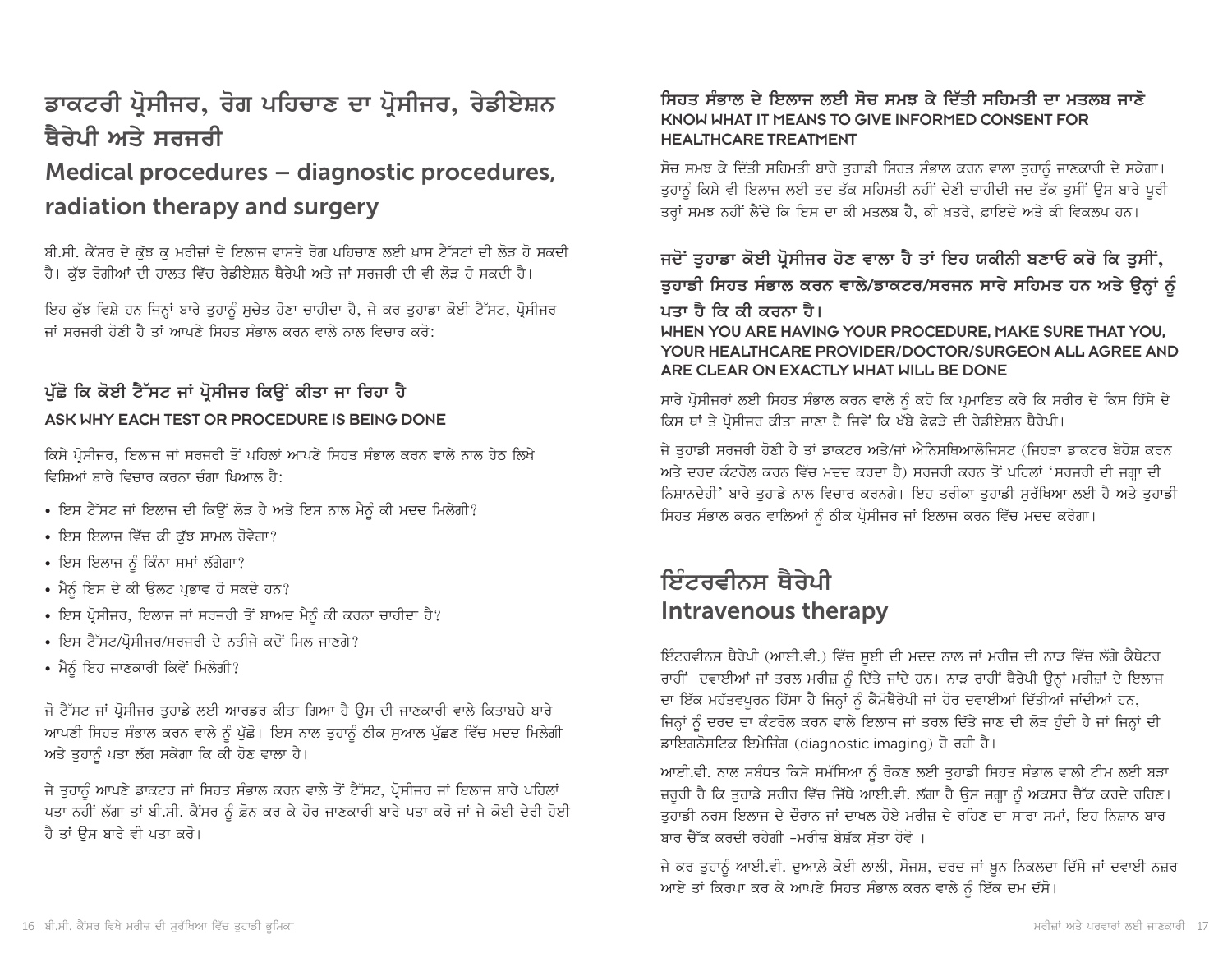# ਡਾਕਟਰੀ ਪ੍ਰੋਸੀਜਰ, ਰੋਗ ਪਹਿਚਾਣ ਦਾ ਪ੍ਰੋਸੀਜਰ, ਰੇਡੀਏਸ਼ਨ ਥੈਰੇਪੀ ਅਤੇ ਸਰਜਰੀ

## Medical procedures – diagnostic procedures, radiation therapy and surgery

ਬੀ.ਸੀ. ਕੈਂਸਰ ਦੇ ਕੁੱਝ ਕੁ ਮਰੀਜ਼ਾਂ ਦੇ ਇਲਾਜ ਵਾਸਤੇ ਰੋਗ ਪਹਿਚਾਣ ਲਈ ਖ਼ਾਸ ਟੈੱਸਟਾਂ ਦੀ ਲੋੜ ਹੋ ਸਕਦੀ ਹੈ। ਕੁੱਝ ਰੋਗੀਆਂ ਦੀ ਹਾਲਤ ਵਿੱਚ ਰੇਡੀਏਸ਼ਨ ਥੈਰੇਪੀ ਅਤੇ ਜਾਂ ਸਰਜਰੀ ਦੀ ਵੀ ਲੋੜ ਹੋ ਸਕਦੀ ਹੈ।

ਇਹ ਕੁੱਝ ਵਿਸ਼ੇ ਹਨ ਜਿਨ੍ਹਾਂ ਬਾਰੇ ਤੁਹਾਨੂੰ ਸੁਚੇਤ ਹੋਣਾ ਚਾਹੀਦਾ ਹੈ, ਜੇ ਕਰ ਤੁਹਾਡਾ ਕੋਈ ਟੈੱਸਟ, ਪ੍ਰੋਸੀਜਰ ਜਾਂ ਸਰਜਰੀ ਹੋਣੀ ਹੈ ਤਾਂ ਆਪਣੇ ਸਿਹਤ ਸੰਭਾਲ ਕਰਨ ਵਾਲੇ ਨਾਲ ਵਿਚਾਰ ਕਰੋ:

### ਪੱਛੋ ਕਿ ਕੋਈ ਟੈੱਸਟ ਜਾਂ ਪੋਸੀਜਰ ਕਿੳਂ ਕੀਤਾ ਜਾ ਰਿਹਾ ਹੈ ASK WHY EACH TEST OR PROCEDURE IS BEING DONE

ਕਿਸੇ ਪ੍ਰੋਸੀਜਰ, ਇਲਾਜ ਜਾਂ ਸਰਜਰੀ ਤੋਂ ਪਹਿਲਾਂ ਆਪਣੇ ਸਿਹਤ ਸੰਭਾਲ ਕਰਨ ਵਾਲੇ ਨਾਲ ਹੇਠ ਲਿਖੇ ਵਿਸਿਆਂ ਸਾਰੇ ਵਿਚਾਰ ਕਰਨਾ ਚੰਗਾ ਖਿਆਲ ਹੈ<sup>.</sup>

- ਇਸ ਟੈੱਸਟ ਜਾਂ ਇਲਾਜ ਦੀ ਕਿਉਂ ਲੋੜ ਹੈ ਅਤੇ ਇਸ ਨਾਲ ਮੈਨੂੰ ਕੀ ਮਦਦ ਮਿਲੇਗੀ?
- ਇਸ ਇਲਾਜ ਵਿੱਚ ਕੀ ਕੱਝ ਸ਼ਾਮਲ ਹੋਵੇਗਾ?
- ਇਸ ਇਲਾਜ ਨੰ ਕਿੰਨਾ ਸਮਾਂ ਲੱਗੇਗਾ?
- ਮੈਨੂੰ ਇਸ ਦੇ ਕੀ ਉਲਟ ਪ੍ਰਭਾਵ ਹੋ ਸਕਦੇ ਹਨ?
- ਇਸ ਪ੍ਰੋਸੀਜਰ, ਇਲਾਜ ਜਾਂ ਸਰਜਰੀ ਤੋਂ ਬਾਅਦ ਮੈਨੂੰ ਕੀ ਕਰਨਾ ਚਾਹੀਦਾ ਹੈ?
- ਇਸ ਟੈੱਸਟ/ਪੋਸੀਜਰ/ਸਰਜਰੀ ਦੇ ਨਤੀਜੇ ਕਦੋਂ ਮਿਲ ਜਾਣਗੇ?
- ਮੈਨੰ ਇਹ ਜਾਣਕਾਰੀ ਕਿਵੇਂ ਮਿਲੇਗੀ?

ਜੋ ਟੈੱਸਟ ਜਾਂ ਪ੍ਰੋਸੀਜਰ ਤੁਹਾਡੇ ਲਈ ਆਰਡਰ ਕੀਤਾ ਗਿਆ ਹੈ ਉਸ ਦੀ ਜਾਣਕਾਰੀ ਵਾਲੇ ਕਿਤਾਬਚੇ ਬਾਰੇ ਆਪਣੀ ਸਿਹਤ ਸੰਭਾਲ ਕਰਨ ਵਾਲੇ ਨੂੰ ਪੁੱਛੋ। ਇਸ ਨਾਲ ਤੁਹਾਨੂੰ ਠੀਕ ਸੁਆਲ ਪੁੱਛਣ ਵਿੱਚ ਮਦਦ ਮਿਲੇਗੀ ਅਤੇ ਤਹਾਨੂੰ ਪਤਾ ਲੱਗ ਸਕੇਗਾ ਕਿ ਕੀ ਹੋਣ ਵਾਲਾ ਹੈ।

ਜੇ ਤੁਹਾਨੂੰ ਆਪਣੇ ਡਾਕਟਰ ਜਾਂ ਸਿਹਤ ਸੰਭਾਲ ਕਰਨ ਵਾਲੇ ਤੋਂ ਟੈੱਸਟ, ਪ੍ਰੋਸੀਜਰ ਜਾਂ ਇਲਾਜ ਬਾਰੇ ਪਹਿਲਾਂ ਪਤਾ ਨਹੀਂ ਲੱਗਾ ਤਾਂ ਬੀ.ਸੀ. ਕੈਂਸਰ ਨੂੰ ਫ਼ੋਨ ਕਰ ਕੇ ਹੋਰ ਜਾਣਕਾਰੀ ਬਾਰੇ ਪਤਾ ਕਰੋ ਜਾਂ ਜੇ ਕੋਈ ਦੇਰੀ ਹੋਈ ਹੈ ਤਾਂ ਉਸ ਬਾਰੇ ਵੀ ਪਤਾ ਕਰੋ।

#### ਸਿਹਤ ਸੰਭਾਲ ਦੇ ਇਲਾਜ ਲਈ ਸੋਚ ਸਮਝ ਕੇ ਦਿੱਤੀ ਸਹਿਮਤੀ ਦਾ ਮਤਲਬ ਜਾਣੋ KNOW WHAT IT MEANS TO GIVE INFORMED CONSENT FOR **HEALTHCARE TREATMENT**

ਸੋਚ ਸਮਝ ਕੇ ਦਿੱਤੀ ਸਹਿਮਤੀ ਬਾਰੇ ਤੁਹਾਡੀ ਸਿਹਤ ਸੰਭਾਲ ਕਰਨ ਵਾਲਾ ਤੁਹਾਨੂੰ ਜਾਣਕਾਰੀ ਦੇ ਸਕੇਗਾ। ਤੁਹਾਨੂੰ ਕਿਸੇ ਵੀ ਇਲਾਜ ਲਈ ਤਦ ਤੱਕ ਸਹਿਮਤੀ ਨਹੀਂ ਦੇਣੀ ਚਾਹੀਦੀ ਜਦ ਤੱਕ ਤੁਸੀਂ ਉਸ ਬਾਰੇ ਪੂਰੀ ਤਰ੍ਹਾਂ ਸਮਝ ਨਹੀਂ ਲੈਂਦੇ ਕਿ ਇਸ ਦਾ ਕੀ ਮਤਲਬ ਹੈ, ਕੀ ਖ਼ਤਰੇ, ਫ਼ਾਇਦੇ ਅਤੇ ਕੀ ਵਿਕਲਪ ਹਨ।

### ਜਦੋਂ ਤੁਹਾਡਾ ਕੋਈ ਪ੍ਰੋਸੀਜਰ ਹੋਣ ਵਾਲਾ ਹੈ ਤਾਂ ਇਹ ਯਕੀਨੀ ਬਣਾਓ ਕਰੋ ਕਿ ਤੁਸੀਂ,

ਤੁਹਾਡੀ ਸਿਹਤ ਸੰਭਾਲ ਕਰਨ ਵਾਲੇ/ਡਾਕਟਰ/ਸਰਜਨ ਸਾਰੇ ਸਹਿਮਤ ਹਨ ਅਤੇ ਉਨ੍ਹਾਂ ਨੂੰ ਪਤਾ ਹੈ ਕਿ ਕੀ ਕਰਨਾ ਹੈ।

WHEN YOU ARE HAVING YOUR PROCEDURE. MAKE SURE THAT YOU. YOUR HEALTHCARE PROVIDER/DOCTOR/SURGEON ALL AGREE AND ARE CLEAR ON EXACTLY WHAT WILL BE DONE

ਸਾਰੇ ਪ੍ਰੋਸੀਜਰਾਂ ਲਈ ਸਿਹਤ ਸੰਭਾਲ ਕਰਨ ਵਾਲੇ ਨੰ ਕਹੋ ਕਿ ਪ੍ਰਮਾਣਿਤ ਕਰੇ ਕਿ ਸਰੀਰ ਦੇ ਕਿਸ ਹਿੱਸੇ ਦੇ ਕਿਸ ਥਾਂ ਤੇ ਪ੍ਰੋਸੀਜਰ ਕੀਤਾ ਜਾਣਾ ਹੈ ਜਿਵੇਂ ਕਿ ਖੱਬੇ ਫੇਫੜੇ ਦੀ ਰੇਡੀਏਸ਼ਨ ਥੈਰੇਪੀ।

ਜੇ ਤਹਾਡੀ ਸਰਜਰੀ ਹੋਣੀ ਹੈ ਤਾਂ ਡਾਕਟਰ ਅਤੇ/ਜਾਂ ਐਨਿਸਥਿਆਲੋਜਿਸਟ (ਜਿਹੜਾ ਡਾਕਟਰ ਬੇਹੋਸ਼ ਕਰਨ ਅਤੇ ਦਰਦ ਕੰਟਰੋਲ ਕਰਨ ਵਿੱਚ ਮਦਦ ਕਰਦਾ ਹੈ) ਸਰਜਰੀ ਕਰਨ ਤੋਂ ਪਹਿਲਾਂ 'ਸਰਜਰੀ ਦੀ ਜਗ੍ਹਾ ਦੀ ਨਿਸ਼ਾਨਦੇਹੀ' ਬਾਰੇ ਤਹਾਡੇ ਨਾਲ ਵਿਚਾਰ ਕਰਨਗੇ। ਇਹ ਤਰੀਕਾ ਤਹਾਡੀ ਸਰੱਖਿਆ ਲਈ ਹੈ ਅਤੇ ਤਹਾਡੀ ਸਿਹਤ ਸੰਭਾਲ ਕਰਨ ਵਾਲਿਆਂ ਨੂੰ ਠੀਕ ਪ੍ਰੋਸੀਜਰ ਜਾਂ ਇਲਾਜ ਕਰਨ ਵਿੱਚ ਮਦਦ ਕਰੇਗਾ।

## ਇੰਟਰਵੀਨਸ ਥੈਰੇਪੀ Intravenous therapy

ਇੰਟਰਵੀਨਸ ਥੈਰੇਪੀ (ਆਈ.ਵੀ.) ਵਿੱਚ ਸੁਈ ਦੀ ਮਦਦ ਨਾਲ ਜਾਂ ਮਰੀਜ਼ ਦੀ ਨਾੜ ਵਿੱਚ ਲੱਗੇ ਕੈਥੇਟਰ ਰਾਹੀਂ ਦਵਾਈਆਂ ਜਾਂ ਤਰਲ ਮਰੀਜ਼ ਨੂੰ ਦਿੱਤੇ ਜਾਂਦੇ ਹਨ। ਨਾੜ ਰਾਹੀਂ ਥੈਰੇਪੀ ਉਨ੍ਹਾਂ ਮਰੀਜ਼ਾਂ ਦੇ ਇਲਾਜ ਦਾ ਇੱਕ ਮਹੱਤਵਪੂਰਨ ਹਿੱਸਾ ਹੈ ਜਿਨ੍ਹਾਂ ਨੂੰ ਕੈਮੋਥੈਰੇਪੀ ਜਾਂ ਹੋਰ ਦਵਾਈਆਂ ਦਿੱਤੀਆਂ ਜਾਂਦੀਆਂ ਹਨ, ਜਿਨ੍ਹਾਂ ਨੰ ਦਰਦ ਦਾ ਕੰਟਰੋਲ ਕਰਨ ਵਾਲੇ ਇਲਾਜ ਜਾਂ ਤਰਲ ਦਿੱਤੇ ਜਾਣ ਦੀ ਲੋੜ ਹੰਦੀ ਹੈ ਜਾਂ ਜਿਨ੍ਹਾਂ ਦੀ ਡਾਇਗਨੋਸਟਿਕ ਇਮੇਜਿੰਗ (diagnostic imaging) ਹੋ ਰਹੀ ਹੈ।

ਆਈ.ਵੀ. ਨਾਲ ਸਬੰਧਤ ਕਿਸੇ ਸਮੱਸਿਆ ਨੂੰ ਰੋਕਣ ਲਈ ਤੁਹਾਡੀ ਸਿਹਤ ਸੰਭਾਲ ਵਾਲੀ ਟੀਮ ਲਈ ਬੜਾ ਜ਼ਰਰੀ ਹੈ ਕਿ ਤਹਾਡੇ ਸਰੀਰ ਵਿੱਚ ਜਿੱਥੇ ਆਈ.ਵੀ. ਲੱਗਾ ਹੈ ਉਸ ਜਗ੍ਹਾ ਨੂੰ ਅਕਸਰ ਚੈੱਕ ਕਰਦੇ ਰਹਿਣ। ਤਹਾਡੀ ਨਰਸ ਇਲਾਜ ਦੇ ਦੌਰਾਨ ਜਾਂ ਦਾਖਲ ਹੋਏ ਮਰੀਜ਼ ਦੇ ਰਹਿਣ ਦਾ ਸਾਰਾ ਸਮਾਂ, ਇਹ ਨਿਸ਼ਾਨ ਬਾਰ ਬਾਰ ਚੈੱਕ ਕਰਦੀ ਰਹੇਗੀ -ਮਰੀਜ਼ ਬੇਸ਼ੱਕ ਸੁੱਤਾ ਹੋਵੋ ।

ਜੇ ਕਰ ਤੁਹਾਨੂੰ ਆਈ.ਵੀ. ਦੁਆਲੇ ਕੋਈ ਲਾਲੀ, ਸੋਜਸ਼, ਦਰਦ ਜਾਂ ਖ਼ੂਨ ਨਿਕਲਦਾ ਦਿੱਸੇ ਜਾਂ ਦਵਾਈ ਨਜ਼ਰ ਆਏ ਤਾਂ ਕਿਰਪਾ ਕਰ ਕੇ ਆਪਣੇ ਸਿਹਤ ਸੰਭਾਲ ਕਰਨ ਵਾਲੇ ਨੂੰ ਇੱਕ ਦਮ ਦੱਸੋ।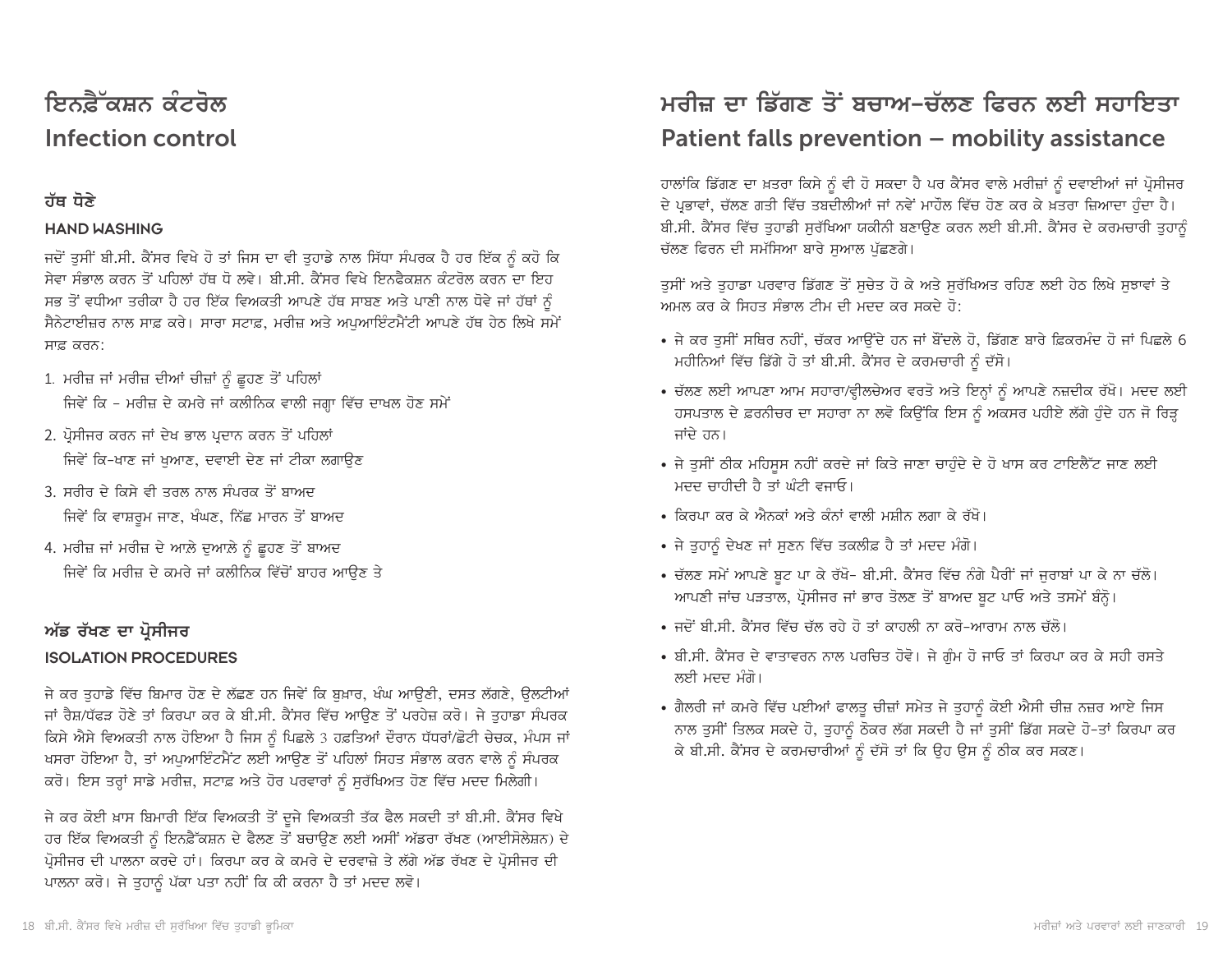# ਇਨਫ਼ੈੱਕਸ਼ਨ ਕੰਟਰੋਲ Infection control

#### ਹੱਥ ਧੋਣੇ

#### **HAND WASHING**

ਜਦੋਂ ਤੁਸੀਂ ਬੀ.ਸੀ. ਕੈਂਸਰ ਵਿਖੇ ਹੋ ਤਾਂ ਜਿਸ ਦਾ ਵੀ ਤੁਹਾਡੇ ਨਾਲ ਸਿੱਧਾ ਸੰਪਰਕ ਹੈ ਹਰ ਇੱਕ ਨੂੰ ਕਹੋ ਕਿ ਸੇਵਾ ਸੰਭਾਲ ਕਰਨ ਤੋਂ ਪਹਿਲਾਂ ਹੱਥ ਧੋ ਲਵੇ। ਬੀ.ਸੀ. ਕੈਂਸਰ ਵਿਖੇ ਇਨਫੈਕਸ਼ਨ ਕੰਟਰੋਲ ਕਰਨ ਦਾ ਇਹ ਸਭ ਤੋਂ ਵਧੀਆ ਤਰੀਕਾ ਹੈ ਹਰ ਇੱਕ ਵਿਅਕਤੀ ਆਪਣੇ ਹੱਥ ਸਾਬਣ ਅਤੇ ਪਾਣੀ ਨਾਲ ਧੋਵੇ ਜਾਂ ਹੱਥਾਂ ਨੂੰ ਸੈਨੇਟਾਈਜ਼ਰ ਨਾਲ ਸਾਫ਼ ਕਰੇ। ਸਾਰਾ ਸਟਾਫ਼, ਮਰੀਜ਼ ਅਤੇ ਅਪਆਇੰਟਮੈਂਟੀ ਆਪਣੇ ਹੱਥ ਹੇਠ ਲਿਖੇ ਸਮੇਂ ਸਾਫ਼ ਕਰਨ:

- 1. ਮਰੀਜ਼ ਜਾਂ ਮਰੀਜ਼ ਦੀਆਂ ਚੀਜ਼ਾਂ ਨੂੰ ਛੂਹਣ ਤੋਂ ਪਹਿਲਾਂ ਜਿਵੇਂ ਕਿ - ਮਰੀਜ਼ ਦੇ ਕਮਰੇ ਜਾਂ ਕਲੀਨਿਕ ਵਾਲੀ ਜਗ੍ਹਾ ਵਿੱਚ ਦਾਖਲ ਹੋਣ ਸਮੇਂ
- 2. ਪ੍ਰੋਸੀਜਰ ਕਰਨ ਜਾਂ ਦੇਖ ਭਾਲ ਪ੍ਰਦਾਨ ਕਰਨ ਤੋਂ ਪਹਿਲਾਂ ਜਿਵੇਂ ਕਿ-ਖਾਣ ਜਾਂ ਖਆਣ, ਦਵਾਈ ਦੇਣ ਜਾਂ ਟੀਕਾ ਲਗਾਉਣ
- 3. ਸਰੀਰ ਦੇ ਕਿਸੇ ਵੀ ਤਰਲ ਨਾਲ ਸੰਪਰਕ ਤੋਂ ਬਾਅਦ ਜਿਵੇਂ ਕਿ ਵਾਸ਼ਰਮ ਜਾਣ, ਖੰਘਣ, ਨਿੱਛ ਮਾਰਨ ਤੋਂ ਬਾਅਦ
- 4. ਮਰੀਜ਼ ਜਾਂ ਮਰੀਜ਼ ਦੇ ਆਲੇ ਦੁਆਲੇ ਨੂੰ ਛੂਹਣ ਤੋਂ ਬਾਅਦ ਜਿਵੇਂ ਕਿ ਮਰੀਜ਼ ਦੇ ਕਮਰੇ ਜਾਂ ਕਲੀਨਿਕ ਵਿੱਚੋਂ ਬਾਹਰ ਆਉਣ ਤੇ

#### ਅੱਡ ਰੱਖਣ ਦਾ ਪ੍ਰੋਸੀਜਰ

#### **ISOLATION PROCEDURES**

ਜੇ ਕਰ ਤਹਾਡੇ ਵਿੱਚ ਬਿਮਾਰ ਹੋਣ ਦੇ ਲੱਛਣ ਹਨ ਜਿਵੇਂ ਕਿ ਬਖ਼ਾਰ, ਖੰਘ ਆਉਣੀ, ਦਸਤ ਲੱਗਣੇ, ਉਲਟੀਆਂ ਜਾਂ ਰੈਸ਼/ਧੱਫੜ ਹੋਣੇ ਤਾਂ ਕਿਰਪਾ ਕਰ ਕੇ ਬੀ.ਸੀ. ਕੈਂਸਰ ਵਿੱਚ ਆੳਣ ਤੋਂ ਪਰਹੇਜ਼ ਕਰੋ। ਜੇ ਤਹਾਡਾ ਸੰਪਰਕ ਕਿਸੇ ਐਸੇ ਵਿਅਕਤੀ ਨਾਲ ਹੋਇਆ ਹੈ ਜਿਸ ਨੂੰ ਪਿਛਲੇ 3 ਹਫ਼ਤਿਆਂ ਦੌਰਾਨ ਧੱਧਰਾਂ/ਛੋਟੀ ਚੇਚਕ, ਮੰਪਸ ਜਾਂ ਖਸਰਾ ਹੋਇਆ ਹੈ, ਤਾਂ ਅਪੁਆਇੰਟਮੈਂਟ ਲਈ ਆਉਣ ਤੋਂ ਪਹਿਲਾਂ ਸਿਹਤ ਸੰਭਾਲ ਕਰਨ ਵਾਲੇ ਨੂੰ ਸੰਪਰਕ ਕਰੋ। ਇਸ ਤਰ੍ਹਾਂ ਸਾਡੇ ਮਰੀਜ਼, ਸਟਾਫ਼ ਅਤੇ ਹੋਰ ਪਰਵਾਰਾਂ ਨੂੰ ਸਰੱਖਿਅਤ ਹੋਣ ਵਿੱਚ ਮਦਦ ਮਿਲੇਗੀ।

ਜੇ ਕਰ ਕੋਈ ਖ਼ਾਸ ਬਿਮਾਰੀ ਇੱਕ ਵਿਅਕਤੀ ਤੋਂ ਦੂਜੇ ਵਿਅਕਤੀ ਤੱਕ ਫੈਲ ਸਕਦੀ ਤਾਂ ਬੀ.ਸੀ. ਕੈਂਸਰ ਵਿਖੇ ਹਰ ਇੱਕ ਵਿਅਕਤੀ ਨੂੰ ਇਨਫ਼ੈੱਕਸ਼ਨ ਦੇ ਫੈਲਣ ਤੋਂ ਬਚਾਉਣ ਲਈ ਅਸੀਂ ਅੱਡਰਾ ਰੱਖਣ (ਆਈਸੋਲੇਸ਼ਨ) ਦੇ ਪ੍ਰੋਸੀਜਰ ਦੀ ਪਾਲਨਾ ਕਰਦੇ ਹਾਂ। ਕਿਰਪਾ ਕਰ ਕੇ ਕਮਰੇ ਦੇ ਦਰਵਾਜ਼ੇ ਤੇ ਲੱਗੇ ਅੱਡ ਰੱਖਣ ਦੇ ਪ੍ਰੋਸੀਜਰ ਦੀ ਪਾਲਨਾ ਕਰੋ। ਜੇ ਤੁਹਾਨੂੰ ਪੱਕਾ ਪਤਾ ਨਹੀਂ ਕਿ ਕੀ ਕਰਨਾ ਹੈ ਤਾਂ ਮਦਦ ਲਵੋ।

# ਮਰੀਜ਼ ਦਾ ਡਿੱਗਣ ਤੋਂ ਬਚਾਅ–ਚੱਲਣ ਫਿਰਨ ਲਈ ਸਹਾਇਤਾ Patient falls prevention - mobility assistance

ਹਾਲਾਂਕਿ ਡਿੱਗਣ ਦਾ ਖ਼ਤਰਾ ਕਿਸੇ ਨੂੰ ਵੀ ਹੋ ਸਕਦਾ ਹੈ ਪਰ ਕੈਂਸਰ ਵਾਲੇ ਮਰੀਜ਼ਾਂ ਨੂੰ ਦਵਾਈਆਂ ਜਾਂ ਪ੍ਰੋਸੀਜਰ ਦੇ ਪ੍ਰਭਾਵਾਂ, ਚੱਲਣ ਗਤੀ ਵਿੱਚ ਤਬਦੀਲੀਆਂ ਜਾਂ ਨਵੇਂ ਮਾਹੌਲ ਵਿੱਚ ਹੋਣ ਕਰ ਕੇ ਖ਼ਤਰਾ ਜ਼ਿਆਦਾ ਹੁੰਦਾ ਹੈ। ਬੀ.ਸੀ. ਕੈਂਸਰ ਵਿੱਚ ਤਹਾਡੀ ਸਰੱਖਿਆ ਯਕੀਨੀ ਬਣਾਉਣ ਕਰਨ ਲਈ ਬੀ.ਸੀ. ਕੈਂਸਰ ਦੇ ਕਰਮਚਾਰੀ ਤਹਾਨੂੰ ਚੱਲਣ ਫਿਰਨ ਦੀ ਸਮੱਸਿਆ ਬਾਰੇ ਸਆਲ ਪੱਛਣਗੇ।

ਤੁਸੀਂ ਅਤੇ ਤੁਹਾਡਾ ਪਰਵਾਰ ਡਿੱਗਣ ਤੋਂ ਸੁਚੇਤ ਹੋ ਕੇ ਅਤੇ ਸੁਰੱਖਿਅਤ ਰਹਿਣ ਲਈ ਹੇਠ ਲਿਖੇ ਸੁਝਾਵਾਂ ਤੇ ਅਮਲ ਕਰ ਕੇ ਸਿਹਤ ਸੰਭਾਲ ਟੀਮ ਦੀ ਮਦਦ ਕਰ ਸਕਦੇ ਹੋ:-

- ਜੇ ਕਰ ਤਸੀਂ ਸਥਿਰ ਨਹੀਂ, ਚੱਕਰ ਆਉਂਦੇ ਹਨ ਜਾਂ ਬੌਂਦਲੇ ਹੋ, ਡਿੱਗਣ ਬਾਰੇ ਫ਼ਿਕਰਮੰਦ ਹੋ ਜਾਂ ਪਿਛਲੇ 6 ਮਹੀਨਿਆਂ ਵਿੱਚ ਡਿੱਗੇ ਹੋ ਤਾਂ ਬੀ.ਸੀ. ਕੈਂਸਰ ਦੇ ਕਰਮਚਾਰੀ ਨੂੰ ਦੱਸੋ।
- ਚੱਲਣ ਲਈ ਆਪਣਾ ਆਮ ਸਹਾਰਾ/ਵ੍ਹੀਲਚੇਅਰ ਵਰਤੋ ਅਤੇ ਇਨ੍ਹਾਂ ਨੂੰ ਆਪਣੇ ਨਜ਼ਦੀਕ ਰੱਖੋ। ਮਦਦ ਲਈ ਹਸਪਤਾਲ ਦੇ ਫ਼ਰਨੀਚਰ ਦਾ ਸਹਾਰਾ ਨਾ ਲਵੋ ਕਿਉਂਕਿ ਇਸ ਨੂੰ ਅਕਸਰ ਪਹੀਏ ਲੱਗੇ ਹੁੰਦੇ ਹਨ ਜੋ ਰਿੜ੍ਹ ਜਾਂਦੇ ਹਨ।
- ਜੇ ਤੁਸੀਂ ਠੀਕ ਮਹਿਸੁਸ ਨਹੀਂ ਕਰਦੇ ਜਾਂ ਕਿਤੇ ਜਾਣਾ ਚਾਹੁੰਦੇ ਦੇ ਹੋ ਖਾਸ ਕਰ ਟਾਇਲੈੱਟ ਜਾਣ ਲਈ ਮਦਦ ਚਾਹੀਦੀ ਹੈ ਤਾਂ ਘੰਟੀ ਵਜਾਓ।
- ਕਿਰਪਾ ਕਰ ਕੇ ਐਨਕਾਂ ਅਤੇ ਕੰਨਾਂ ਵਾਲੀ ਮਸ਼ੀਨ ਲਗਾ ਕੇ ਰੱਖੋ।
- ਜੇ ਤੁਹਾਨੂੰ ਦੇਖਣ ਜਾਂ ਸੁਣਨ ਵਿੱਚ ਤਕਲੀਫ਼ ਹੈ ਤਾਂ ਮਦਦ ਮੰਗੋ।
- ਚੱਲਣ ਸਮੇਂ ਆਪਣੇ ਬੂਟ ਪਾ ਕੇ ਰੱਖੋ- ਬੀ.ਸੀ. ਕੈਂਸਰ ਵਿੱਚ ਨੰਗੇ ਪੈਰੀਂ ਜਾਂ ਜੁਰਾਬਾਂ ਪਾ ਕੇ ਨਾ ਚੱਲੋ। ਆਪਣੀ ਜਾਂਚ ਪੜਤਾਲ, ਪ੍ਰੋਸੀਜਰ ਜਾਂ ਭਾਰ ਤੋਲਣ ਤੋਂ ਬਾਅਦ ਬੂਟ ਪਾਓ ਅਤੇ ਤਸਮੇਂ ਬੰਨ੍ਹੋ।
- ਜਦੋਂ ਬੀ ਸੀ, ਕੈਂਸਰ ਵਿੱਚ ਚੱਲ ਰਹੇ ਹੋ ਤਾਂ ਕਾਹਲੀ ਨਾ ਕਰੋ-ਆਰਾਮ ਨਾਲ ਚੱਲੋ।
- ਬੀ.ਸੀ. ਕੈਂਸਰ ਦੇ ਵਾਤਾਵਰਨ ਨਾਲ ਪਰਚਿਤ ਹੋਵੋ। ਜੇ ਗੰਮ ਹੋ ਜਾਓ ਤਾਂ ਕਿਰਪਾ ਕਰ ਕੇ ਸਹੀ ਰਸਤੇ ਲਈ ਮਦਦ ਮੰਗੋ।
- ਗੈਲਰੀ ਜਾਂ ਕਮਰੇ ਵਿੱਚ ਪਈਆਂ ਫਾਲਤੂ ਚੀਜ਼ਾਂ ਸਮੇਤ ਜੇ ਤੁਹਾਨੂੰ ਕੋਈ ਐਸੀ ਚੀਜ਼ ਨਜ਼ਰ ਆਏ ਜਿਸ ਨਾਲ ਤੁਸੀਂ ਤਿਲਕ ਸਕਦੇ ਹੋ, ਤੁਹਾਨੂੰ ਠੋਕਰ ਲੱਗ ਸਕਦੀ ਹੈ ਜਾਂ ਤੁਸੀਂ ਡਿੱਗ ਸਕਦੇ ਹੋ-ਤਾਂ ਕਿਰਪਾ ਕਰ ਕੇ ਬੀ.ਸੀ. ਕੈਂਸਰ ਦੇ ਕਰਮਚਾਰੀਆਂ ਨੂੰ ਦੱਸੋ ਤਾਂ ਕਿ ਉਹ ਉਸ ਨੂੰ ਠੀਕ ਕਰ ਸਕਣ।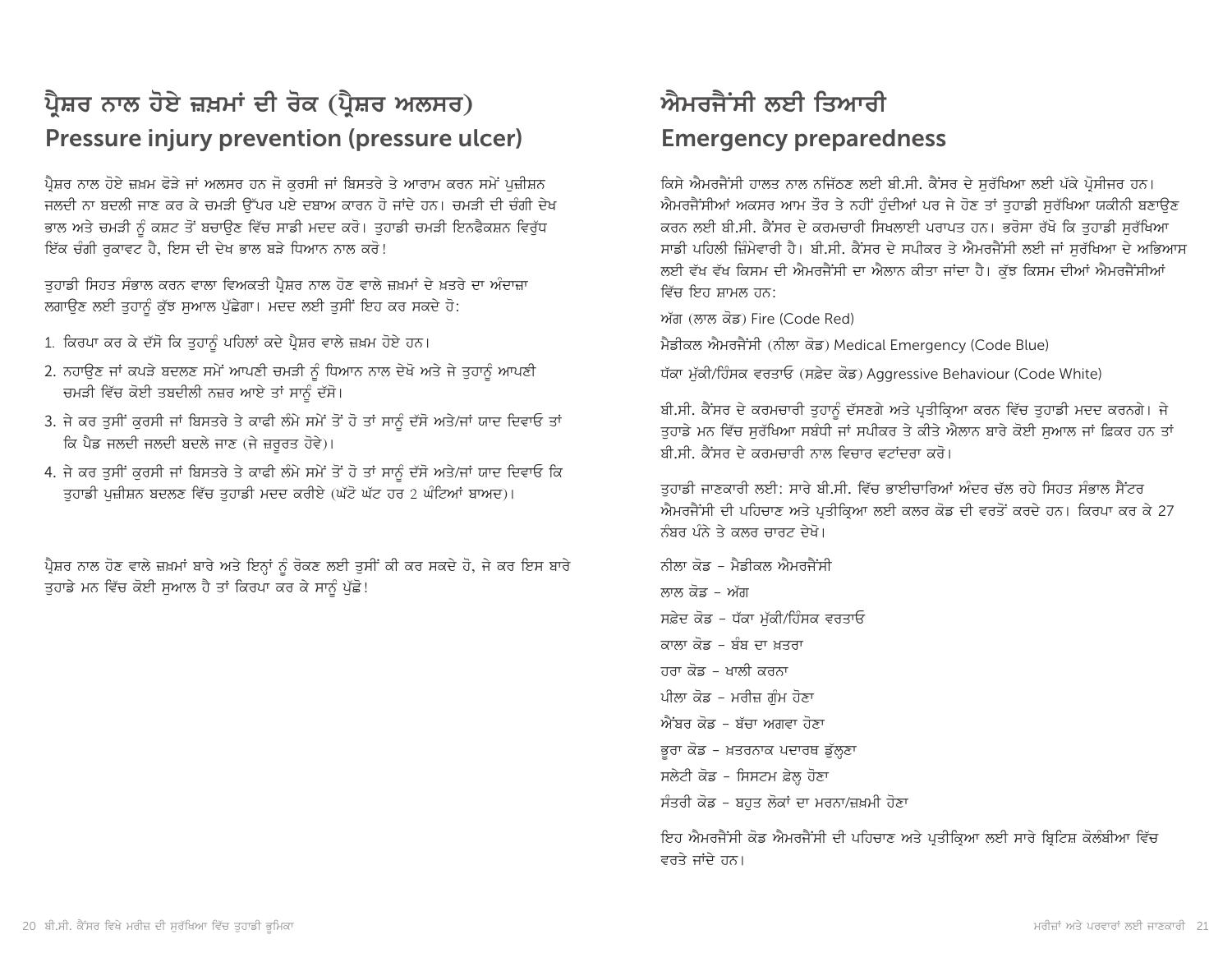# ਪ੍ਰੈਸ਼ਰ ਨਾਲ ਹੋਏ ਜ਼ਖ਼ਮਾਂ ਦੀ ਰੋਕ (ਪ੍ਰੈਸ਼ਰ ਅਲਸਰ) Pressure injury prevention (pressure ulcer)

ਪ੍ਰੈਸ਼ਰ ਨਾਲ ਹੋਏ ਜ਼ਖ਼ਮ ਫੋੜੇ ਜਾਂ ਅਲਸਰ ਹਨ ਜੋ ਕੁਰਸੀ ਜਾਂ ਬਿਸਤਰੇ ਤੇ ਆਰਾਮ ਕਰਨ ਸਮੇਂ ਪਜ਼ੀਸ਼ਨ ਜਲਦੀ ਨਾ ਬਦਲੀ ਜਾਣ ਕਰ ਕੇ ਚਮੜੀ ਉੱਪਰ ਪਏ ਦਬਾਅ ਕਾਰਨ ਹੋ ਜਾਂਦੇ ਹਨ। ਚਮੜੀ ਦੀ ਚੰਗੀ ਦੇਖ ਭਾਲ ਅਤੇ ਚਮੜੀ ਨੂੰ ਕਸ਼ਟ ਤੋਂ ਬਚਾਉਣ ਵਿੱਚ ਸਾਡੀ ਮਦਦ ਕਰੋ। ਤੁਹਾਡੀ ਚਮੜੀ ਇਨਫੈਕਸ਼ਨ ਵਿਰੁੱਧ ਇੱਕ ਚੰਗੀ ਰਕਾਵਟ ਹੈ. ਇਸ ਦੀ ਦੇਖ ਭਾਲ ਬੜੇ ਧਿਆਨ ਨਾਲ ਕਰੋ!

ਤੁਹਾਡੀ ਸਿਹਤ ਸੰਭਾਲ ਕਰਨ ਵਾਲਾ ਵਿਅਕਤੀ ਪ੍ਰੈਸ਼ਰ ਨਾਲ ਹੋਣ ਵਾਲੇ ਜ਼ਖ਼ਮਾਂ ਦੇ ਖ਼ਤਰੇ ਦਾ ਅੰਦਾਜ਼ਾ ਲਗਾਉਣ ਲਈ ਤਹਾਨੂੰ ਕੁੱਝ ਸੁਆਲ ਪੱਛੇਗਾ। ਮਦਦ ਲਈ ਤਸੀਂ ਇਹ ਕਰ ਸਕਦੇ ਹੋ:

- 1. ਕਿਰਪਾ ਕਰ ਕੇ ਦੱਸੋ ਕਿ ਤਹਾਨੰ ਪਹਿਲਾਂ ਕਦੇ ਪ੍ਰੈਸ਼ਰ ਵਾਲੇ ਜ਼ਖ਼ਮ ਹੋਏ ਹਨ।
- 2. ਨਹਾਉਣ ਜਾਂ ਕਪੜੇ ਬਦਲਣ ਸਮੇਂ ਆਪਣੀ ਚਮੜੀ ਨੂੰ ਧਿਆਨ ਨਾਲ ਦੇਖੋ ਅਤੇ ਜੇ ਤੁਹਾਨੂੰ ਆਪਣੀ ਚਮੜੀ ਵਿੱਚ ਕੋਈ ਤਬਦੀਲੀ ਨਜ਼ਰ ਆਏ ਤਾਂ ਸਾਨੂੰ ਦੱਸੋ।
- 3. ਜੇ ਕਰ ਤੁਸੀਂ ਕੁਰਸੀ ਜਾਂ ਬਿਸਤਰੇ ਤੇ ਕਾਫੀ ਲੰਮੇ ਸਮੇਂ ਤੋਂ ਹੋ ਤਾਂ ਸਾਨੂੰ ਦੱਸੋ ਅਤੇ/ਜਾਂ ਯਾਦ ਦਿਵਾਓ ਤਾਂ ਕਿ ਪੈਡ ਜਲਦੀ ਜਲਦੀ ਬਦਲੇ ਜਾਣ (ਜੇ ਜ਼ਰੂਰਤ ਹੋਵੇ)।
- 4. ਜੇ ਕਰ ਤੁਸੀਂ ਕੁਰਸੀ ਜਾਂ ਬਿਸਤਰੇ ਤੇ ਕਾਫੀ ਲੰਮੇ ਸਮੇਂ ਤੋਂ ਹੋ ਤਾਂ ਸਾਨੂੰ ਦੱਸੋ ਅਤੇ/ਜਾਂ ਯਾਦ ਦਿਵਾਓ ਕਿ ਤਹਾਡੀ ਪਜ਼ੀਸ਼ਨ ਬਦਲਣ ਵਿੱਚ ਤਹਾਡੀ ਮਦਦ ਕਰੀਏ (ਘੱਟੋ ਘੱਟ ਹਰ 2 ਘੰਟਿਆਂ ਬਾਅਦ)।

ਪ੍ਰੈਸ਼ਰ ਨਾਲ ਹੋਣ ਵਾਲੇ ਜ਼ਖ਼ਮਾਂ ਬਾਰੇ ਅਤੇ ਇਨ੍ਹਾਂ ਨੂੰ ਰੋਕਣ ਲਈ ਤੁਸੀਂ ਕੀ ਕਰ ਸਕਦੇ ਹੋ, ਜੇ ਕਰ ਇਸ ਬਾਰੇ ਤੁਹਾਡੇ ਮਨ ਵਿੱਚ ਕੋਈ ਸੁਆਲ ਹੈ ਤਾਂ ਕਿਰਪਾ ਕਰ ਕੇ ਸਾਨੂੰ ਪੁੱਛੋ!

# ਐਮਰਜੈਂਸੀ ਲਈ ਤਿਆਰੀ **Emergency preparedness**

ਕਿਸੇ ਐਮਰਜੈਂਸੀ ਹਾਲਤ ਨਾਲ ਨਜਿੱਠਣ ਲਈ ਬੀ.ਸੀ. ਕੈਂਸਰ ਦੇ ਸਰੱਖਿਆ ਲਈ ਪੱਕੇ ਪ੍ਰੋਸੀਜਰ ਹਨ। ਐਮਰਜੈਂਸੀਆਂ ਅਕਸਰ ਆਮ ਤੌਰ ਤੇ ਨਹੀਂ ਹੁੰਦੀਆਂ ਪਰ ਜੇ ਹੋਣ ਤਾਂ ਤੁਹਾਡੀ ਸੁਰੱਖਿਆ ਯਕੀਨੀ ਬਣਾਉਣ ਕਰਨ ਲਈ ਬੀ.ਸੀ. ਕੈਂਸਰ ਦੇ ਕਰਮਚਾਰੀ ਸਿਖਲਾਈ ਪਰਾਪਤ ਹਨ। ਭਰੋਸਾ ਰੱਖੋ ਕਿ ਤਹਾਡੀ ਸਰੱਖਿਆ ਸਾਡੀ ਪਹਿਲੀ ਜ਼ਿੰਮੇਵਾਰੀ ਹੈ। ਬੀ.ਸੀ. ਕੈਂਸਰ ਦੇ ਸਪੀਕਰ ਤੇ ਐਮਰਜੈਂਸੀ ਲਈ ਜਾਂ ਸਰੱਖਿਆ ਦੇ ਅਭਿਆਸ ਲਈ ਵੱਖ ਵੱਖ ਕਿਸਮ ਦੀ ਐਮਰਜੈਂਸੀ ਦਾ ਐਲਾਨ ਕੀਤਾ ਜਾਂਦਾ ਹੈ। ਕੁੱਝ ਕਿਸਮ ਦੀਆਂ ਐਮਰਜੈਂਸੀਆਂ ਵਿੱਚ ਇਹ ਸ਼ਾਮਲ ਹਨ<sup>.</sup>

ਅੱਗ (ਲਾਲ ਕੋਡ) Fire (Code Red)

ਮੈਡੀਕਲ ਐਮਰਜੈਂਸੀ (ਨੀਲਾ ਕੋਡ) Medical Emergency (Code Blue)

ਧੱਕਾ ਮੁੱਕੀ/ਹਿੰਸਕ ਵਰਤਾਓ (ਸਫ਼ੇਦ ਕੋਡ) Aggressive Behaviour (Code White)

ਬੀ.ਸੀ. ਕੈਂਸਰ ਦੇ ਕਰਮਚਾਰੀ ਤੁਹਾਨੂੰ ਦੱਸਣਗੇ ਅਤੇ ਪ੍ਰਤੀਕ੍ਰਿਆ ਕਰਨ ਵਿੱਚ ਤੁਹਾਡੀ ਮਦਦ ਕਰਨਗੇ। ਜੇ ਤਹਾਡੇ ਮਨ ਵਿੱਚ ਸਰੱਖਿਆ ਸਬੰਧੀ ਜਾਂ ਸਪੀਕਰ ਤੇ ਕੀਤੇ ਐਲਾਨ ਬਾਰੇ ਕੋਈ ਸਆਲ ਜਾਂ ਫ਼ਿਕਰ ਹਨ ਤਾਂ ਬੀ.ਸੀ. ਕੈਂਸਰ ਦੇ ਕਰਮਚਾਰੀ ਨਾਲ ਵਿਚਾਰ ਵਟਾਂਦਰਾ ਕਰੋ।

ਤਹਾਡੀ ਜਾਣਕਾਰੀ ਲਈ: ਸਾਰੇ ਬੀ.ਸੀ. ਵਿੱਚ ਭਾਈਚਾਰਿਆਂ ਅੰਦਰ ਚੱਲ ਰਹੇ ਸਿਹਤ ਸੰਭਾਲ ਸੈਂਟਰ ਐਮਰਜੈਂਸੀ ਦੀ ਪਹਿਚਾਣ ਅਤੇ ਪਤੀਕਿਆ ਲਈ ਕਲਰ ਕੋਡ ਦੀ ਵਰਤੋਂ ਕਰਦੇ ਹਨ। ਕਿਰਪਾ ਕਰ ਕੇ 27 ਨੰਬਰ ਪੰਨੇ ਤੇ ਕਲਰ ਚਾਰਟ ਦੇਖੋ।

ਨੀਲਾ ਕੋਡ - ਮੈਡੀਕਲ ਐਮਰਜੈਂਸੀ ਲਾਲ ਕੋੜ – ਅੱਗ ਸਫ਼ੇਦ ਕੋਡ - ਧੱਕਾ ਮੱਕੀ/ਹਿੰਸਕ ਵਰਤਾਓ ਕਾਲਾ ਕੋਡ - ਬੰਬ ਦਾ ਖ਼ਤਰਾ ਹਰਾ ਕੋਡ - ਖਾਲੀ ਕਰਨਾ ਪੀਲਾ ਕੋਡ - ਮਰੀਜ਼ ਗੰਮ ਹੋਣਾ ਐਂਬਰ ਕੋਡ - ਬੱਚਾ ਅਗਵਾ ਹੋਣਾ ਭੁਰਾ ਕੋਡ - ਖ਼ਤਰਨਾਕ ਪਦਾਰਥ ਡੁੱਲ੍ਹਣਾ ਸਲੇਟੀ ਕੋਡ - ਸਿਸਟਮ ਫ਼ੇਲ੍ਹ ਹੋਣਾ ਸੰਤਰੀ ਕੋਡ - ਬਹਤ ਲੋਕਾਂ ਦਾ ਮਰਨਾ/ਜ਼ਖ਼ਮੀ ਹੋਣਾ

ਇਹ ਐਮਰਜੈਂਸੀ ਕੋਡ ਐਮਰਜੈਂਸੀ ਦੀ ਪਹਿਚਾਣ ਅਤੇ ਪ੍ਰਤੀਕ੍ਰਿਆ ਲਈ ਸਾਰੇ ਬ੍ਰਿਟਿਸ਼ ਕੋਲੰਬੀਆ ਵਿੱਚ ਵਰਤੇ ਜਾਂਦੇ ਹਨ।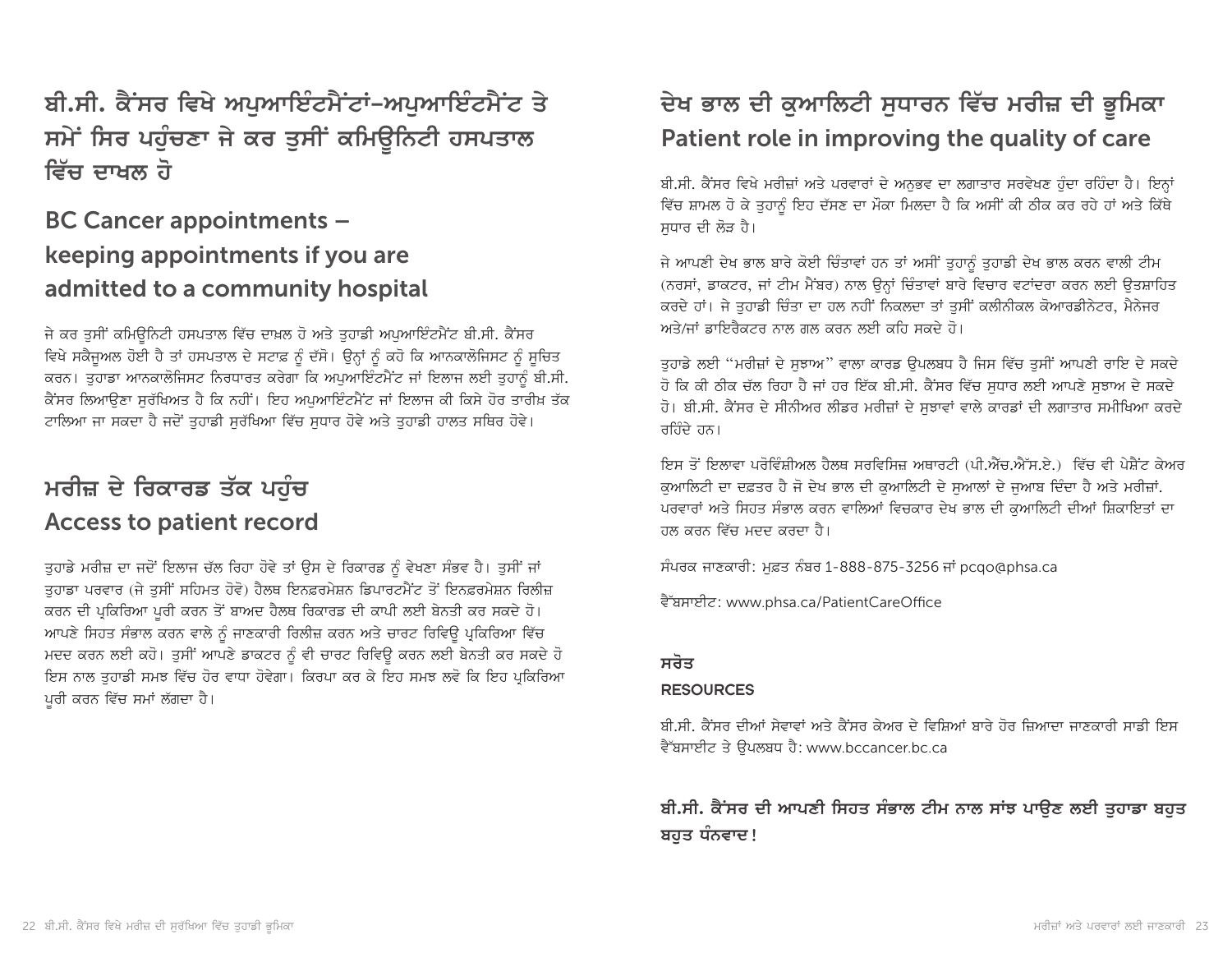ਬੀ.ਸੀ. ਕੈਂਸਰ ਵਿਖੇ ਅਪਆਇੰਟਮੈਂਟਾਂ-ਅਪਆਇੰਟਮੈਂਟ ਤੇ ਸਮੇਂ ਸਿਰ ਪਹੁੰਚਣਾ ਜੇ ਕਰ ਤੁਸੀਂ ਕਮਿ**ਉਨਿਟੀ ਹਸਪਤਾ**ਲ <u>ਵਿੱਚ ਦਾਖਲ ਹੋ</u>

# BC Cancer appointments – keeping appointments if you are admitted to a community hospital

ਜੇ ਕਰ ਤੁਸੀਂ ਕਮਿਉਨਿਟੀ ਹਸਪਤਾਲ ਵਿੱਚ ਦਾਖ਼ਲ ਹੋ ਅਤੇ ਤੁਹਾਡੀ ਅਪੁਆਇੰਟਮੈਂਟ ਬੀ.ਸੀ. ਕੈਂਸਰ ਵਿਖੇ ਸਕੈਜੁਅਲ ਹੋਈ ਹੈ ਤਾਂ ਹਸਪਤਾਲ ਦੇ ਸਟਾਫ਼ ਨੂੰ ਦੱਸੋ। ਉਨ੍ਹਾਂ ਨੂੰ ਕਹੋ ਕਿ ਆਨਕਾਲੋਜਿਸਟ ਨੂੰ ਸੂਚਿਤ ਕਰਨ। ਤੁਹਾਡਾ ਆਨਕਾਲੋਜਿਸਟ ਨਿਰਧਾਰਤ ਕਰੇਗਾ ਕਿ ਅਪੁਆਇੰਟਮੈਂਟ ਜਾਂ ਇਲਾਜ ਲਈ ਤੁਹਾਨੂੰ ਬੀ.ਸੀ. ਕੈਂਸਰ ਲਿਆੳਣਾ ਸਰੱਖਿਅਤ ਹੈ ਕਿ ਨਹੀਂ। ਇਹ ਅਪਆਇੰਟਮੈਂਟ ਜਾਂ ਇਲਾਜ ਕੀ ਕਿਸੇ ਹੋਰ ਤਾਰੀਖ਼ ਤੱਕ ਟਾਲਿਆ ਜਾ ਸਕਦਾ ਹੈ ਜਦੋਂ ਤਹਾਡੀ ਸਰੱਖਿਆ ਵਿੱਚ ਸਧਾਰ ਹੋਵੇ ਅਤੇ ਤਹਾਡੀ ਹਾਲਤ ਸਥਿਰ ਹੋਵੇ।

# <u>ਮਰੀਜ਼ ਦੇ ਰਿਕਾਰਡ ਤੱਕ ਪਹੰਚ</u> Access to patient record

ਤੁਹਾਡੇ ਮਰੀਜ਼ ਦਾ ਜਦੋਂ ਇਲਾਜ ਚੱਲ ਰਿਹਾ ਹੋਵੇ ਤਾਂ ਉਸ ਦੇ ਰਿਕਾਰਡ ਨੂੰ ਵੇਖਣਾ ਸੰਭਵ ਹੈ। ਤੁਸੀਂ ਜਾਂ ਤਹਾਡਾ ਪਰਵਾਰ (ਜੇ ਤਸੀਂ ਸਹਿਮਤ ਹੋਵੋ) ਹੈਲਥ ਇਨਫ਼ਰਮੇਸ਼ਨ ਡਿਪਾਰਟਮੈਂਟ ਤੋਂ ਇਨਫ਼ਰਮੇਸ਼ਨ ਰਿਲੀਜ਼ ਕਰਨ ਦੀ ਪ੍ਰਕਿਰਿਆ ਪੁਰੀ ਕਰਨ ਤੋਂ ਬਾਅਦ ਹੈਲਥ ਰਿਕਾਰਡ ਦੀ ਕਾਪੀ ਲਈ ਬੇਨਤੀ ਕਰ ਸਕਦੇ ਹੋ। ਆਪਣੇ ਸਿਹਤ ਸੰਭਾਲ ਕਰਨ ਵਾਲੇ ਨੂੰ ਜਾਣਕਾਰੀ ਰਿਲੀਜ਼ ਕਰਨ ਅਤੇ ਚਾਰਟ ਰਿਵਿਊ ਪ੍ਰਕਿਰਿਆ ਵਿੱਚ ਮਦਦ ਕਰਨ ਲਈ ਕਹੋ। ਤਸੀਂ ਆਪਣੇ ਡਾਕਟਰ ਨੂੰ ਵੀ ਚਾਰਟ ਰਿਵਿਊ ਕਰਨ ਲਈ ਬੇਨਤੀ ਕਰ ਸਕਦੇ ਹੋ ਇਸ ਨਾਲ ਤੁਹਾਡੀ ਸਮਝ ਵਿੱਚ ਹੋਰ ਵਾਧਾ ਹੋਵੇਗਾ। ਕਿਰਪਾ ਕਰ ਕੇ ਇਹ ਸਮਝ ਲਵੋ ਕਿ ਇਹ ਪ੍ਰਕਿਰਿਆ ਪੁਰੀ ਕਰਨ ਵਿੱਚ ਸਮਾਂ ਲੱਗਦਾ ਹੈ।

# ਦੇਖ ਭਾਲ ਦੀ ਕੁਆਲਿਟੀ ਸੁਧਾਰਨ ਵਿੱਚ ਮਰੀਜ਼ ਦੀ ਭੂਮਿਕਾ Patient role in improving the quality of care

ਬੀ.ਸੀ. ਕੈਂਸਰ ਵਿਖੇ ਮਰੀਜ਼ਾਂ ਅਤੇ ਪਰਵਾਰਾਂ ਦੇ ਅਨਭਵ ਦਾ ਲਗਾਤਾਰ ਸਰਵੇਖਣ ਹੰਦਾ ਰਹਿੰਦਾ ਹੈ। ਇਨ੍ਹਾਂ ਵਿੱਚ ਸ਼ਾਮਲ ਹੋ ਕੇ ਤੁਹਾਨੂੰ ਇਹ ਦੱਸਣ ਦਾ ਮੌਕਾ ਮਿਲਦਾ ਹੈ ਕਿ ਅਸੀਂ ਕੀ ਠੀਕ ਕਰ ਰਹੇ ਹਾਂ ਅਤੇ ਕਿੱਥੇ ਸਧਾਰ ਦੀ ਲੋੜ ਹੈ।

ਜੇ ਆਪਣੀ ਦੇਖ ਭਾਲ ਬਾਰੇ ਕੋਈ ਚਿੰਤਾਵਾਂ ਹਨ ਤਾਂ ਅਸੀਂ ਤੁਹਾਨੂੰ ਤੁਹਾਡੀ ਦੇਖ ਭਾਲ ਕਰਨ ਵਾਲੀ ਟੀਮ (ਨਰਸਾਂ, ਡਾਕਟਰ, ਜਾਂ ਟੀਮ ਮੈਂਬਰ) ਨਾਲ ਉਨ੍ਹਾਂ ਚਿੰਤਾਵਾਂ ਬਾਰੇ ਵਿਚਾਰ ਵਟਾਂਦਰਾ ਕਰਨ ਲਈ ਉਤਸ਼ਾਹਿਤ ਕਰਦੇ ਹਾਂ। ਜੇ ਤਹਾਡੀ ਚਿੰਤਾ ਦਾ ਹਲ ਨਹੀਂ ਨਿਕਲਦਾ ਤਾਂ ਤਸੀਂ ਕਲੀਨੀਕਲ ਕੋਆਰਡੀਨੇਟਰ, ਮੈਨੇਜਰ ਅਤੇ/ਜਾਂ ਡਾਇਰੈਕਟਰ ਨਾਲ ਗਲ ਕਰਨ ਲਈ ਕਹਿ ਸਕਦੇ ਹੋ।

ਤੁਹਾਡੇ ਲਈ "ਮਰੀਜ਼ਾਂ ਦੇ ਸੁਝਾਅ" ਵਾਲਾ ਕਾਰਡ ਉਪਲਬਧ ਹੈ ਜਿਸ ਵਿੱਚ ਤੁਸੀਂ ਆਪਣੀ ਰਾਇ ਦੇ ਸਕਦੇ ਹੋ ਕਿ ਕੀ ਠੀਕ ਚੱਲ ਰਿਹਾ ਹੈ ਜਾਂ ਹਰ ਇੱਕ ਬੀ.ਸੀ. ਕੈਂਸਰ ਵਿੱਚ ਸਧਾਰ ਲਈ ਆਪਣੇ ਸਝਾਅ ਦੇ ਸਕਦੇ ਹੋ। ਬੀ.ਸੀ. ਕੈਂਸਰ ਦੇ ਸੀਨੀਅਰ ਲੀਡਰ ਮਰੀਜ਼ਾਂ ਦੇ ਸਝਾਵਾਂ ਵਾਲੇ ਕਾਰਡਾਂ ਦੀ ਲਗਾਤਾਰ ਸਮੀਖਿਆ ਕਰਦੇ ਰਹਿੰਦੇ ਹਨ।

ਇਸ ਤੋਂ ਇਲਾਵਾ ਪਰੋਵਿੰਸ਼ੀਅਲ ਹੈਲਥ ਸਰਵਿਸਿਜ਼ ਅਥਾਰਟੀ (ਪੀ.ਐੱਚ.ਐੱਸ.ਏ.) ਵਿੱਚ ਵੀ ਪੇਸ਼ੈਂਟ ਕੇਅਰ ਕਆਲਿਟੀ ਦਾ ਦਫ਼ਤਰ ਹੈ ਜੋ ਦੇਖ ਭਾਲ ਦੀ ਕਆਲਿਟੀ ਦੇ ਸਆਲਾਂ ਦੇ ਜਆਬ ਦਿੰਦਾ ਹੈ ਅਤੇ ਮਰੀਜ਼ਾਂ. ਪਰਵਾਰਾਂ ਅਤੇ ਸਿਹਤ ਸੰਭਾਲ ਕਰਨ ਵਾਲਿਆਂ ਵਿਚਕਾਰ ਦੇਖ ਭਾਲ ਦੀ ਕੁਆਲਿਟੀ ਦੀਆਂ ਸ਼ਿਕਾਇਤਾਂ ਦਾ ਹਲ ਕਰਨ ਵਿੱਚ ਮਦਦ ਕਰਦਾ ਹੈ।

ਸੰਪਰਕ ਜਾਣਕਾਰੀ: ਮਫ਼ਤ ਨੰਬਰ 1-888-875-3256 ਜਾਂ pcqo@phsa.ca

ਵੈੱਬਸਾਈਟ: www.phsa.ca/PatientCareOffice

#### <u>ਸਰੋਤ</u>

#### RESOURCES

ਬੀ.ਸੀ. ਕੈਂਸਰ ਦੀਆਂ ਸੇਵਾਵਾਂ ਅਤੇ ਕੈਂਸਰ ਕੇਅਰ ਦੇ ਵਿਸ਼ਿਆਂ ਬਾਰੇ ਹੋਰ ਜ਼ਿਆਦਾ ਜਾਣਕਾਰੀ ਸਾਡੀ ਇਸ ਵੈੱਬਸਾਈਟ ਤੇ ੳਪਲਬਧ ਹੈ: www.bccancer.bc.ca

### ਬੀ.ਸੀ. ਕੈਂਸਰ ਦੀ ਆਪਣੀ ਸਿਹਤ ਸੰਭਾਲ ਟੀਮ ਨਾਲ ਸਾਂਝ ਪਾ**ੳਣ ਲਈ ਤਹਾਡਾ ਬਹ**ਤ ਬਹੁਤ ਧੰਨਵਾਦ!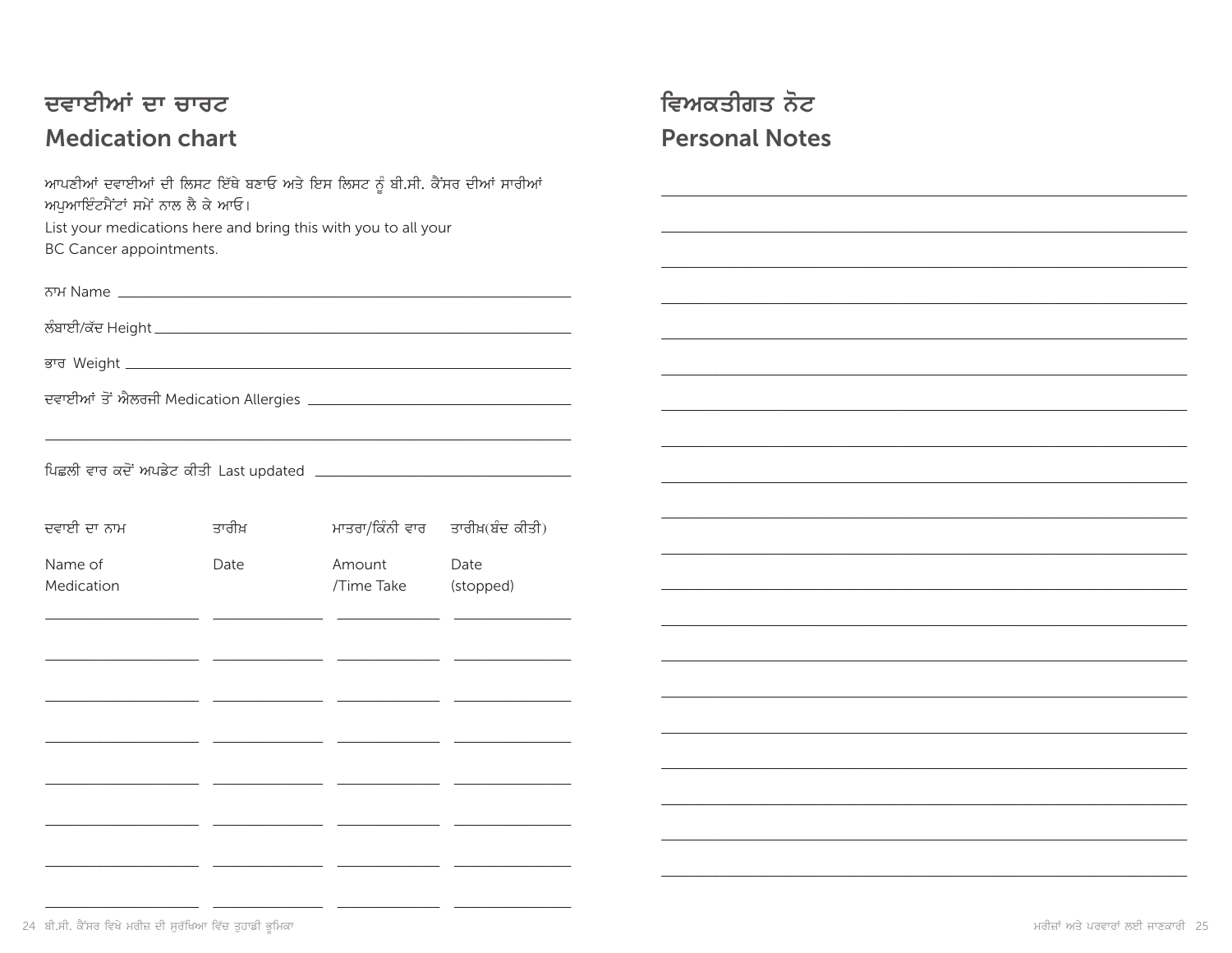# ਦਵਾਈਆਂ ਦਾ ਚਾਰਟ **Medication chart**

ਆਪਣੀਆਂ ਦਵਾਈਆਂ ਦੀ ਲਿਸਟ ਇੱਥੇ ਬਣਾਓ ਅਤੇ ਇਸ ਲਿਸਟ ਨੂੰ ਬੀ.ਸੀ. ਕੈਂਸਰ ਦੀਆਂ ਸਾਰੀਆਂ ਅਪੁਆਇੰਟਮੈਂਟਾਂ ਸਮੇਂ ਨਾਲ ਲੈ ਕੇ ਆਓ। List your medications here and bring this with you to all your BC Cancer appointments.

| ਦਵਾਈ ਦਾ ਨਾਮ | ਤਾਰੀਖ਼ |            | ਮਾਤਰਾ/ਕਿੰਨੀ ਵਾਰ ਤਾਰੀਖ਼(ਬੰਦ ਕੀਤੀ) |
|-------------|--------|------------|----------------------------------|
| Name of     | Date   | Amount     | Date                             |
| Medication  |        | /Time Take | (stopped)                        |
|             |        |            |                                  |
|             |        |            |                                  |
|             |        |            |                                  |
|             |        |            |                                  |

\_\_

<u>and the state</u>

<u> 1999 - 1999 - 1999 - 1999 - 1999 - 1999 - 1999 - 1999 - 1999 - 1999 - 1999 - 1999 - 1999 - 1999 - 1999 - 199</u>

# ਵਿਅਕਤੀਗਤ ਨੋਟ **Personal Notes**

- -

<u>. . . .</u>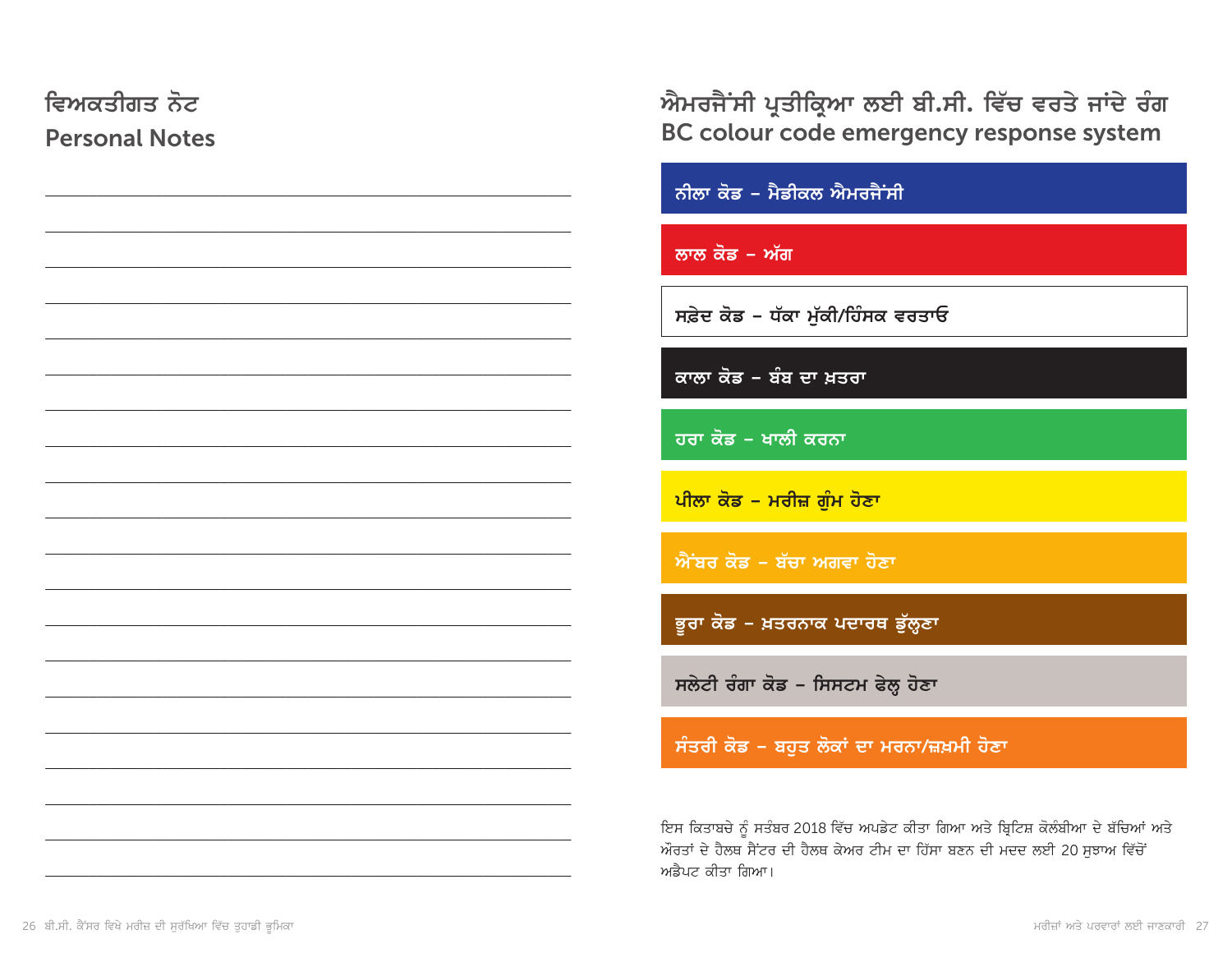| ਵਿਅਕਤੀਗਤ ਨੋਟ<br><b>Personal Notes</b> | ਐਮਰਜੈਂਸੀ ਪ੍ਰਤੀਕ੍ਰਿਆ ਲਈ ਬੀ.ਸੀ. ਵਿੱਚ ਵਰਤੇ ਜਾਂਦੇ ਰੰਗ<br>BC colour code emergency response system                                                                                      |
|---------------------------------------|------------------------------------------------------------------------------------------------------------------------------------------------------------------------------------|
|                                       | ਨੀਲਾ ਕੋਡ – ਮੈਡੀਕਲ ਐਮਰਜੈਂਸੀ                                                                                                                                                         |
|                                       | ਲਾਲ ਕੋਡ – ਅੱਗ                                                                                                                                                                      |
|                                       | ਸਫ਼ੇਦ ਕੋਡ – ਧੱਕਾ ਮੁੱਕੀ/ਹਿੰਸਕ ਵਰਤਾਓ                                                                                                                                                 |
|                                       | ਕਾਲਾ ਕੋਡ – ਬੰਬ ਦਾ ਖ਼ਤਰਾ                                                                                                                                                            |
|                                       | ਹਰਾ ਕੋਡ – ਖਾਲੀ ਕਰਨਾ                                                                                                                                                                |
|                                       | <u>ਪੀਲਾ ਕੋਡ – ਮਰੀਜ਼ ਗੁੰਮ ਹੋਣਾ</u>                                                                                                                                                  |
|                                       | ਐਂਬਰ ਕੋਡ – ਬੱਚਾ ਅਗਵਾ ਹੋਣਾ                                                                                                                                                          |
|                                       | ਭੂਰਾ ਕੋਡ – ਖ਼ਤਰਨਾਕ ਪਦਾਰਥ ਡੁੱਲ੍ਹਣਾ                                                                                                                                                  |
|                                       | ਸਲੇਟੀ ਰੰਗਾ ਕੋਡ - ਸਿਸਟਮ ਫੇਲ੍ਹ ਹੋਣਾ                                                                                                                                                  |
|                                       | ਸੰਤਰੀ ਕੋਡ - ਬਹੁਤ ਲੋਕਾਂ ਦਾ ਮਰਨਾ/ਜ਼ਖ਼ਮੀ ਹੋਣਾ                                                                                                                                         |
|                                       | ਇਸ ਕਿਤਾਬਚੇ ਨੂੰ ਸਤੰਬਰ 2018 ਵਿੱਚ ਅਪਡੇਟ ਕੀਤਾ ਗਿਆ ਅਤੇ ਬ੍ਰਿਟਿਸ਼ ਕੋਲੰਬੀਆ ਦੇ ਬੱਚਿਆਂ ਅਤੇ<br>ਔਰਤਾਂ ਦੇ ਹੈਲਥ ਸੈਂਟਰ ਦੀ ਹੈਲਥ ਕੇਅਰ ਟੀਮ ਦਾ ਹਿੱਸਾ ਬਣਨ ਦੀ ਮਦਦ ਲਈ 20 ਸੁਝਾਅ ਵਿੱਚੋਂ<br>ਅਡੈਪਟ ਕੀਤਾ ਗਿਆ। |